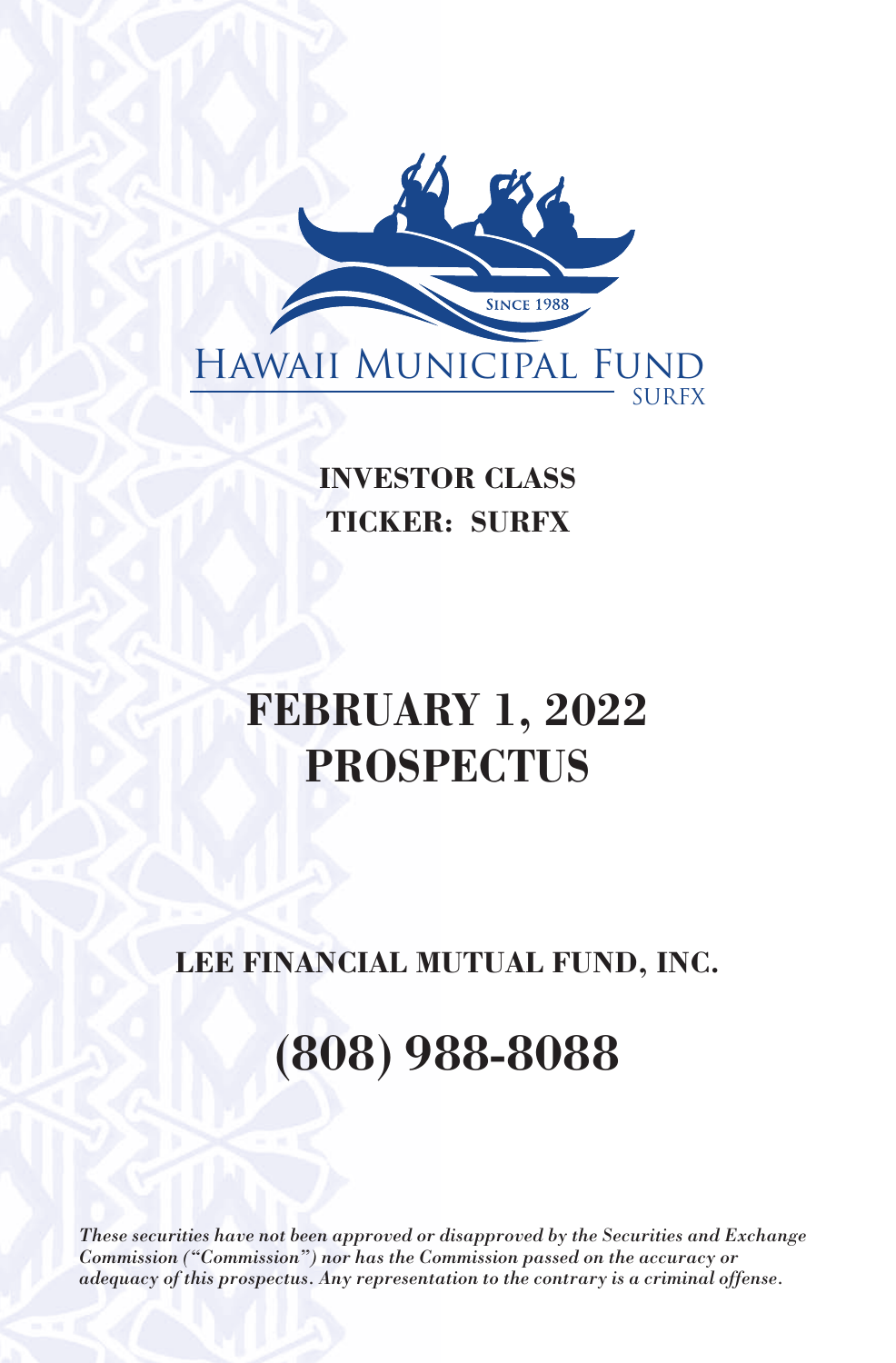

**INVESTOR CLASS TICKER: SURFX**

# **FEBRUARY 1, 2022 PROSPECTUS**

# **LEE FINANCIAL MUTUAL FUND, INC.**

# **(808) 988-8088**

*These securities have not been approved or disapproved by the Securities and Exchange Commission ("Commission") nor has the Commission passed on the accuracy or adequacy of this prospectus. Any representation to the contrary is a criminal offense.*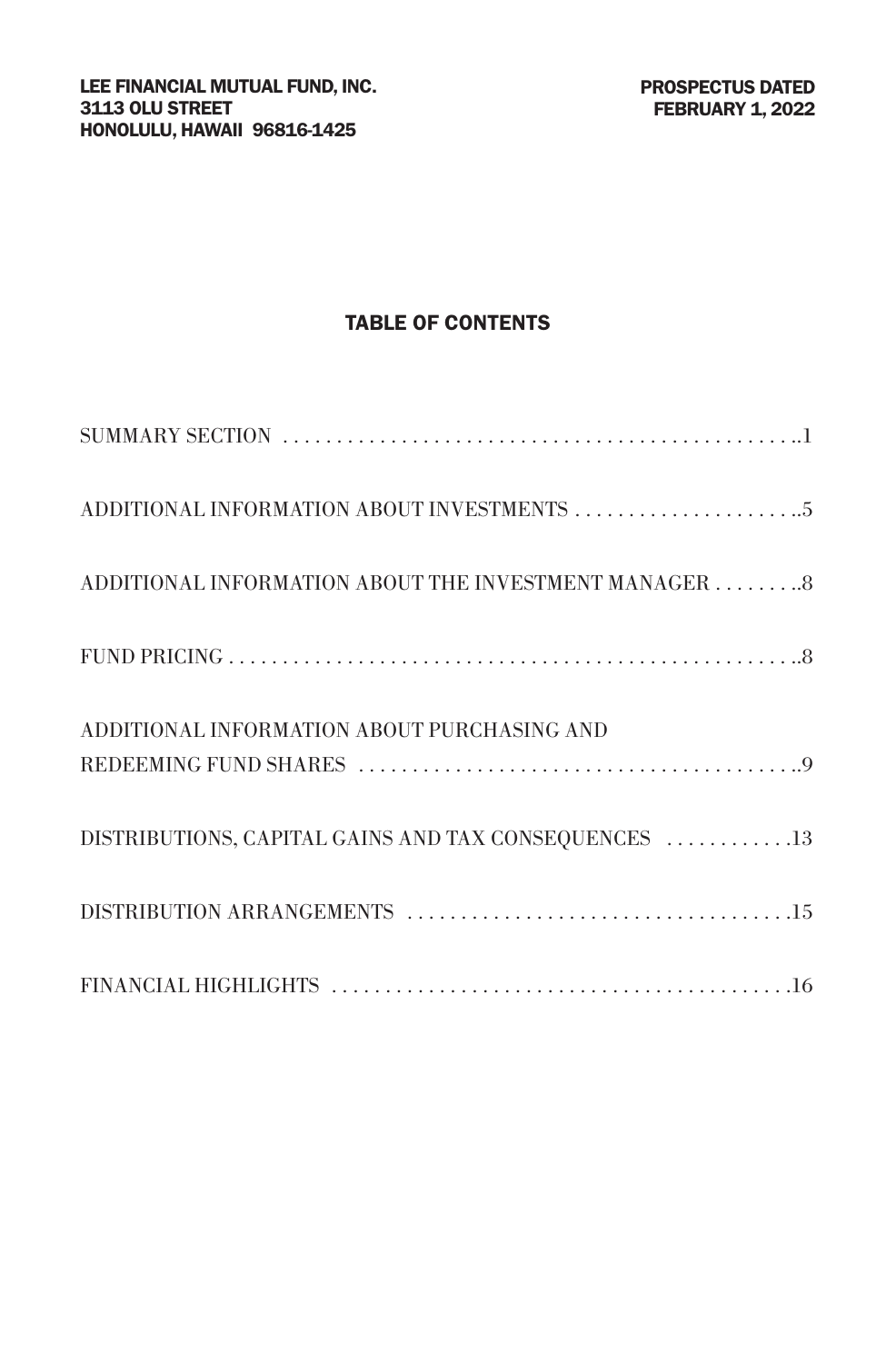## TABLE OF CONTENTS

| ADDITIONAL INFORMATION ABOUT THE INVESTMENT MANAGER 8 |
|-------------------------------------------------------|
|                                                       |
| ADDITIONAL INFORMATION ABOUT PURCHASING AND           |
| DISTRIBUTIONS, CAPITAL GAINS AND TAX CONSEQUENCES 13  |
|                                                       |
|                                                       |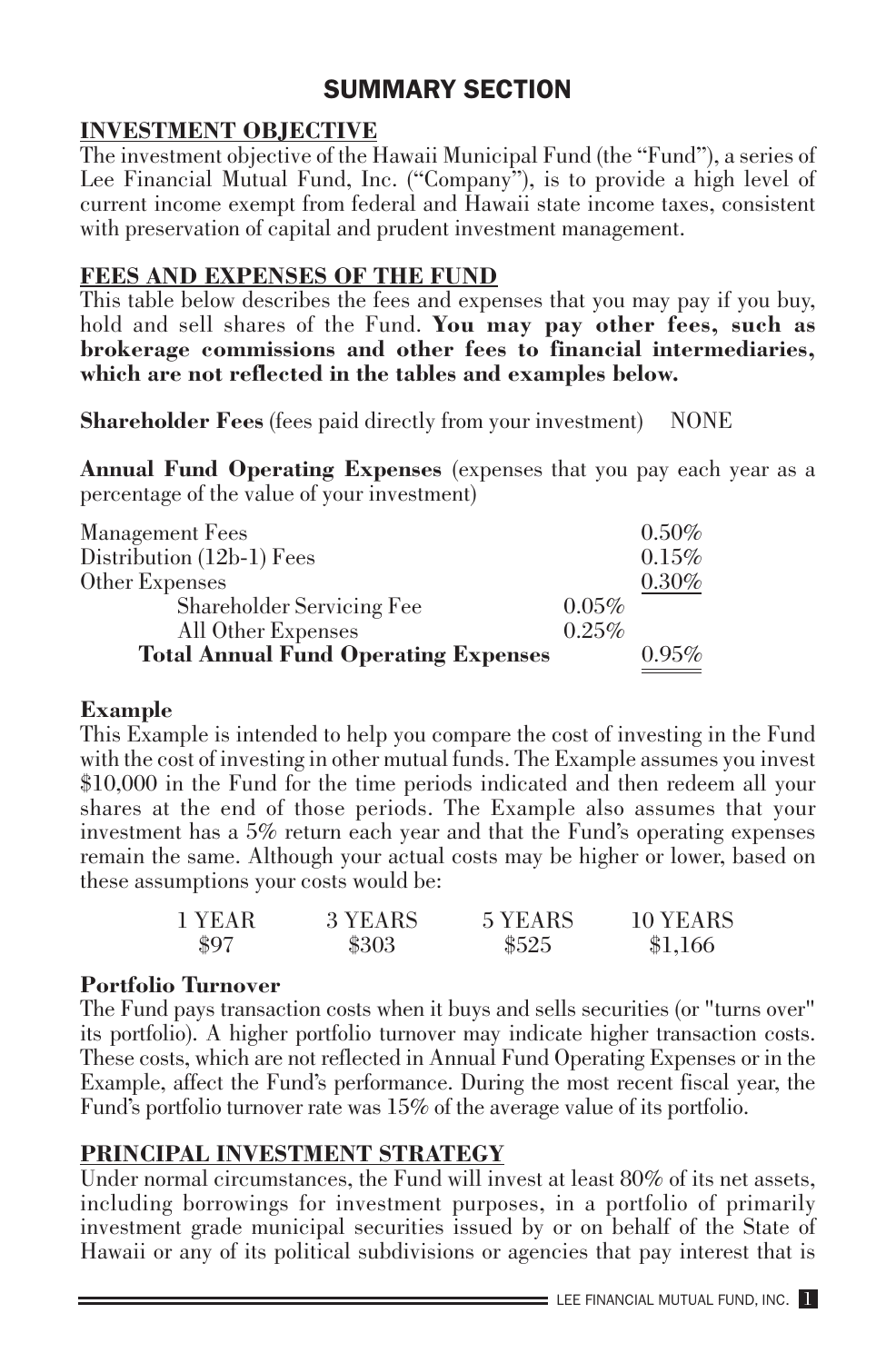# SUMMARY SECTION

#### **INVESTMENT OBJECTIVE**

The investment objective of the Hawaii Municipal Fund (the "Fund"), a series of Lee Financial Mutual Fund, Inc. ("Company"), is to provide a high level of current income exempt from federal and Hawaii state income taxes, consistent with preservation of capital and prudent investment management.

# **FEES AND EXPENSES OF THE FUND**

This table below describes the fees and expenses that you may pay if you buy, hold and sell shares of the Fund. **You may pay other fees, such as brokerage commissions and other fees to financial intermediaries, which are not reflected in the tables and examples below.**

**Shareholder Fees** (fees paid directly from your investment) NONE

**Annual Fund Operating Expenses** (expenses that you pay each year as a percentage of the value of your investment)

| Management Fees                             |       | $0.50\%$ |
|---------------------------------------------|-------|----------|
| Distribution (12b-1) Fees                   |       | 0.15%    |
| Other Expenses                              |       | 0.30%    |
| Shareholder Servicing Fee                   | 0.05% |          |
| All Other Expenses                          | 0.25% |          |
| <b>Total Annual Fund Operating Expenses</b> |       | $0.95\%$ |

#### **Example**

This Example is intended to help you compare the cost of investing in the Fund with the cost of investing in other mutual funds. The Example assumes you invest \$10,000 in the Fund for the time periods indicated and then redeem all your shares at the end of those periods. The Example also assumes that your investment has a 5% return each year and that the Fund's operating expenses remain the same. Although your actual costs may be higher or lower, based on these assumptions your costs would be:

| 1 YEAR | 3 YEARS | 5 YEARS | 10 YEARS |
|--------|---------|---------|----------|
| \$97   | \$303   | \$525   | \$1,166  |

#### **Portfolio Turnover**

The Fund pays transaction costs when it buys and sells securities (or "turns over" its portfolio). A higher portfolio turnover may indicate higher transaction costs. These costs, which are not reflected in Annual Fund Operating Expenses or in the Example, affect the Fund's performance. During the most recent fiscal year, the Fund's portfolio turnover rate was 15% of the average value of its portfolio.

# **PRINCIPAL INVESTMENT STRATEGY**

Under normal circumstances, the Fund will invest at least 80% of its net assets, including borrowings for investment purposes, in a portfolio of primarily investment grade municipal securities issued by or on behalf of the State of Hawaii or any of its political subdivisions or agencies that pay interest that is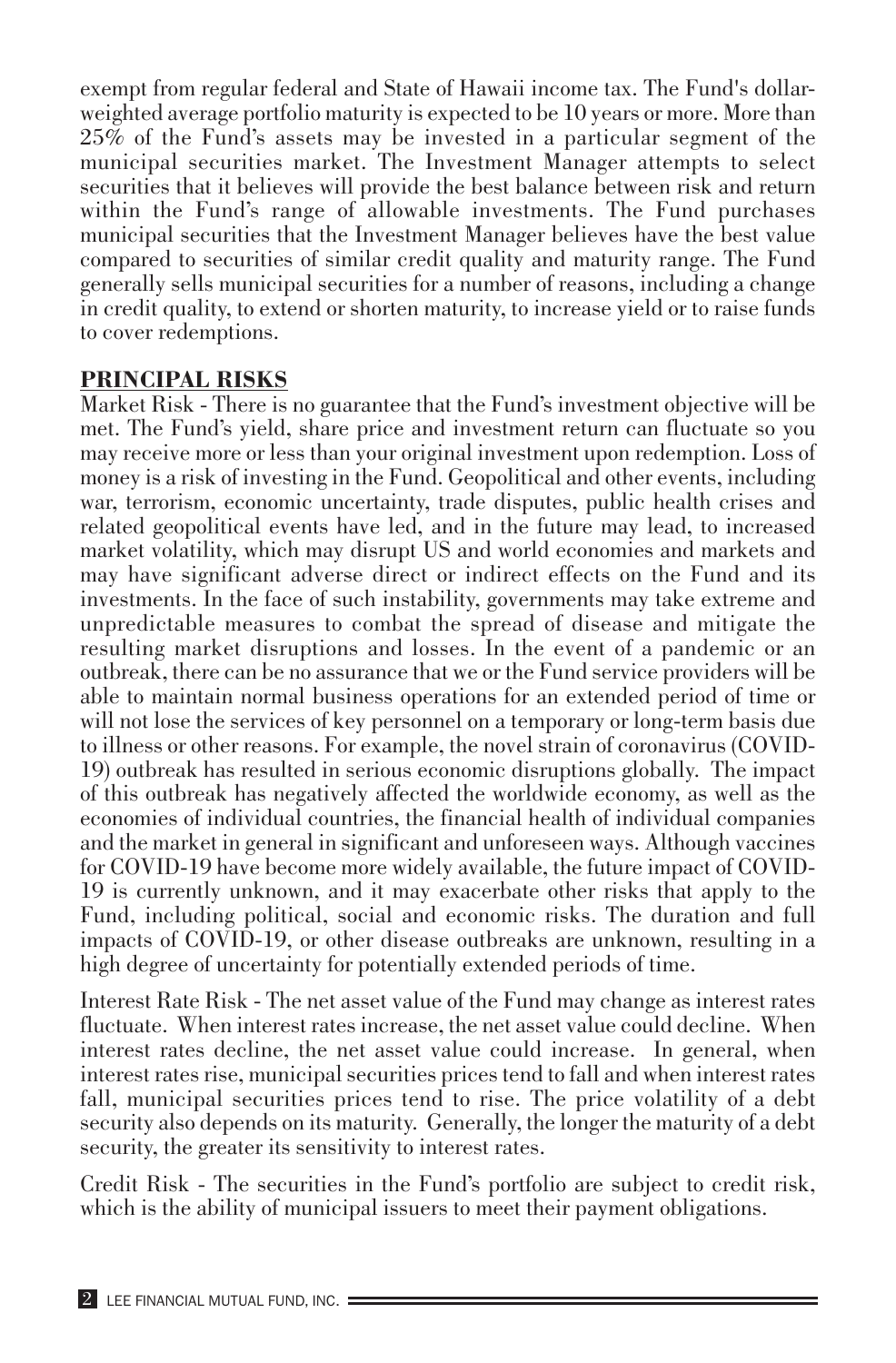exempt from regular federal and State of Hawaii income tax. The Fund's dollarweighted average portfolio maturity is expected to be 10 years or more. More than 25% of the Fund's assets may be invested in a particular segment of the municipal securities market. The Investment Manager attempts to select securities that it believes will provide the best balance between risk and return within the Fund's range of allowable investments. The Fund purchases municipal securities that the Investment Manager believes have the best value compared to securities of similar credit quality and maturity range. The Fund generally sells municipal securities for a number of reasons, including a change in credit quality, to extend or shorten maturity, to increase yield or to raise funds to cover redemptions.

#### **PRINCIPAL RISKS**

Market Risk - There is no guarantee that the Fund's investment objective will be met. The Fund's yield, share price and investment return can fluctuate so you may receive more or less than your original investment upon redemption. Loss of money is a risk of investing in the Fund. Geopolitical and other events, including war, terrorism, economic uncertainty, trade disputes, public health crises and related geopolitical events have led, and in the future may lead, to increased market volatility, which may disrupt US and world economies and markets and may have significant adverse direct or indirect effects on the Fund and its investments. In the face of such instability, governments may take extreme and unpredictable measures to combat the spread of disease and mitigate the resulting market disruptions and losses. In the event of a pandemic or an outbreak, there can be no assurance that we or the Fund service providers will be able to maintain normal business operations for an extended period of time or will not lose the services of key personnel on a temporary or long-term basis due to illness or other reasons. For example, the novel strain of coronavirus (COVID-19) outbreak has resulted in serious economic disruptions globally. The impact of this outbreak has negatively affected the worldwide economy, as well as the economies of individual countries, the financial health of individual companies and the market in general in significant and unforeseen ways. Although vaccines for COVID-19 have become more widely available, the future impact of COVID-19 is currently unknown, and it may exacerbate other risks that apply to the Fund, including political, social and economic risks. The duration and full impacts of COVID-19, or other disease outbreaks are unknown, resulting in a high degree of uncertainty for potentially extended periods of time.

Interest Rate Risk - The net asset value of the Fund may change as interest rates fluctuate. When interest rates increase, the net asset value could decline. When interest rates decline, the net asset value could increase. In general, when interest rates rise, municipal securities prices tend to fall and when interest rates fall, municipal securities prices tend to rise. The price volatility of a debt security also depends on its maturity. Generally, the longer the maturity of a debt security, the greater its sensitivity to interest rates.

Credit Risk - The securities in the Fund's portfolio are subject to credit risk, which is the ability of municipal issuers to meet their payment obligations.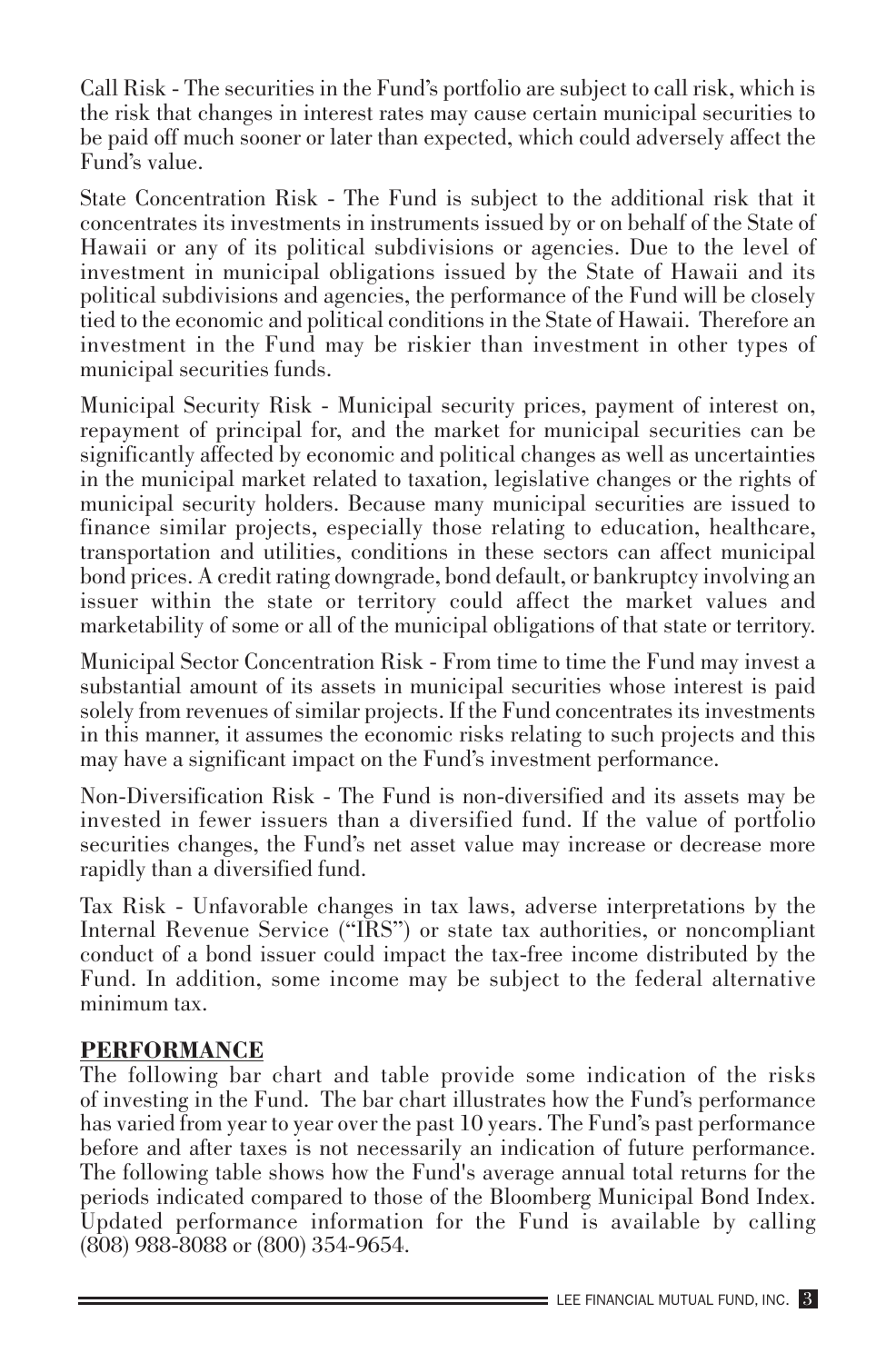Call Risk - The securities in the Fund's portfolio are subject to call risk, which is the risk that changes in interest rates may cause certain municipal securities to be paid off much sooner or later than expected, which could adversely affect the Fund's value.

State Concentration Risk - The Fund is subject to the additional risk that it concentrates its investments in instruments issued by or on behalf of the State of Hawaii or any of its political subdivisions or agencies. Due to the level of investment in municipal obligations issued by the State of Hawaii and its political subdivisions and agencies, the performance of the Fund will be closely tied to the economic and political conditions in the State of Hawaii. Therefore an investment in the Fund may be riskier than investment in other types of municipal securities funds.

Municipal Security Risk - Municipal security prices, payment of interest on, repayment of principal for, and the market for municipal securities can be significantly affected by economic and political changes as well as uncertainties in the municipal market related to taxation, legislative changes or the rights of municipal security holders. Because many municipal securities are issued to finance similar projects, especially those relating to education, healthcare, transportation and utilities, conditions in these sectors can affect municipal bond prices. A credit rating downgrade, bond default, or bankruptcy involving an issuer within the state or territory could affect the market values and marketability of some or all of the municipal obligations of that state or territory.

Municipal Sector Concentration Risk - From time to time the Fund may invest a substantial amount of its assets in municipal securities whose interest is paid solely from revenues of similar projects. If the Fund concentrates its investments in this manner, it assumes the economic risks relating to such projects and this may have a significant impact on the Fund's investment performance.

Non-Diversification Risk - The Fund is non-diversified and its assets may be invested in fewer issuers than a diversified fund. If the value of portfolio securities changes, the Fund's net asset value may increase or decrease more rapidly than a diversified fund.

Tax Risk - Unfavorable changes in tax laws, adverse interpretations by the Internal Revenue Service ("IRS") or state tax authorities, or noncompliant conduct of a bond issuer could impact the tax-free income distributed by the Fund. In addition, some income may be subject to the federal alternative minimum tax.

#### **PERFORMANCE**

The following bar chart and table provide some indication of the risks of investing in the Fund. The bar chart illustrates how the Fund's performance has varied from year to year over the past 10 years. The Fund's past performance before and after taxes is not necessarily an indication of future performance. The following table shows how the Fund's average annual total returns for the periods indicated compared to those of the Bloomberg Municipal Bond Index. Updated performance information for the Fund is available by calling (808) 988-8088 or (800) 354-9654.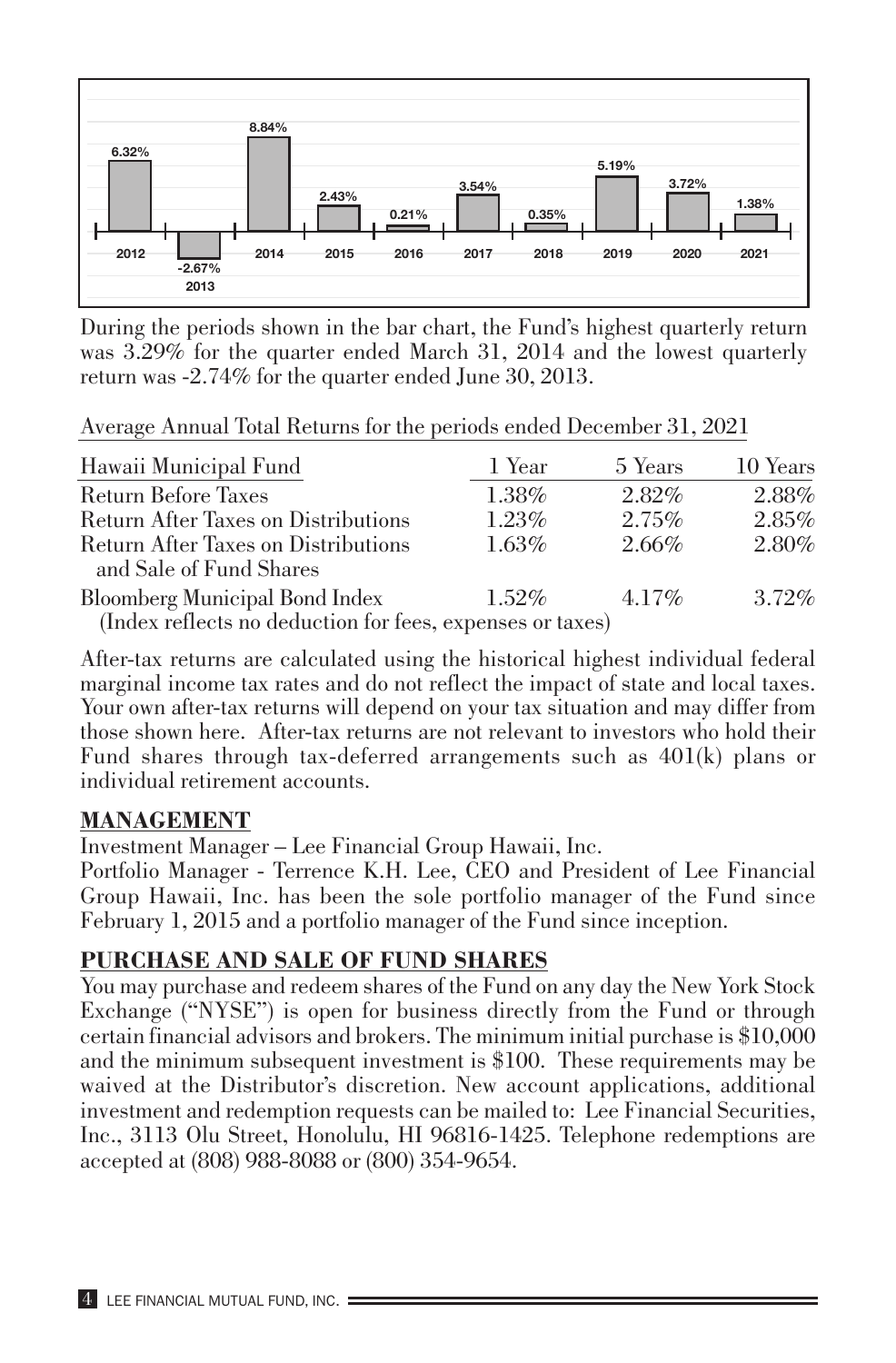

During the periods shown in the bar chart, the Fund's highest quarterly return was 3.29% for the quarter ended March 31, 2014 and the lowest quarterly return was -2.74% for the quarter ended June 30, 2013.

Average Annual Total Returns for the periods ended December 31, 2021

| Hawaii Municipal Fund                                          | 1 Year   | 5 Years  | 10 Years |
|----------------------------------------------------------------|----------|----------|----------|
| Return Before Taxes                                            | 1.38%    | $2.82\%$ | 2.88%    |
| Return After Taxes on Distributions                            | 1.23%    | 2.75%    | 2.85%    |
| Return After Taxes on Distributions<br>and Sale of Fund Shares | $1.63\%$ | 2.66%    | 2.80%    |
| Bloomberg Municipal Bond Index                                 | $1.52\%$ | $4.17\%$ | $3.72\%$ |
| (Index reflects no deduction for fees, expenses or taxes)      |          |          |          |

After-tax returns are calculated using the historical highest individual federal marginal income tax rates and do not reflect the impact of state and local taxes. Your own after-tax returns will depend on your tax situation and may differ from those shown here. After-tax returns are not relevant to investors who hold their Fund shares through tax-deferred arrangements such as 401(k) plans or individual retirement accounts.

#### **MANAGEMENT**

Investment Manager – Lee Financial Group Hawaii, Inc.

Portfolio Manager - Terrence K.H. Lee, CEO and President of Lee Financial Group Hawaii, Inc. has been the sole portfolio manager of the Fund since February 1, 2015 and a portfolio manager of the Fund since inception.

#### **PURCHASE AND SALE OF FUND SHARES**

You may purchase and redeem shares of the Fund on any day the New York Stock Exchange ("NYSE") is open for business directly from the Fund or through certain financial advisors and brokers. The minimum initial purchase is \$10,000 and the minimum subsequent investment is \$100. These requirements may be waived at the Distributor's discretion. New account applications, additional investment and redemption requests can be mailed to: Lee Financial Securities, Inc., 3113 Olu Street, Honolulu, HI 96816-1425. Telephone redemptions are accepted at (808) 988-8088 or (800) 354-9654.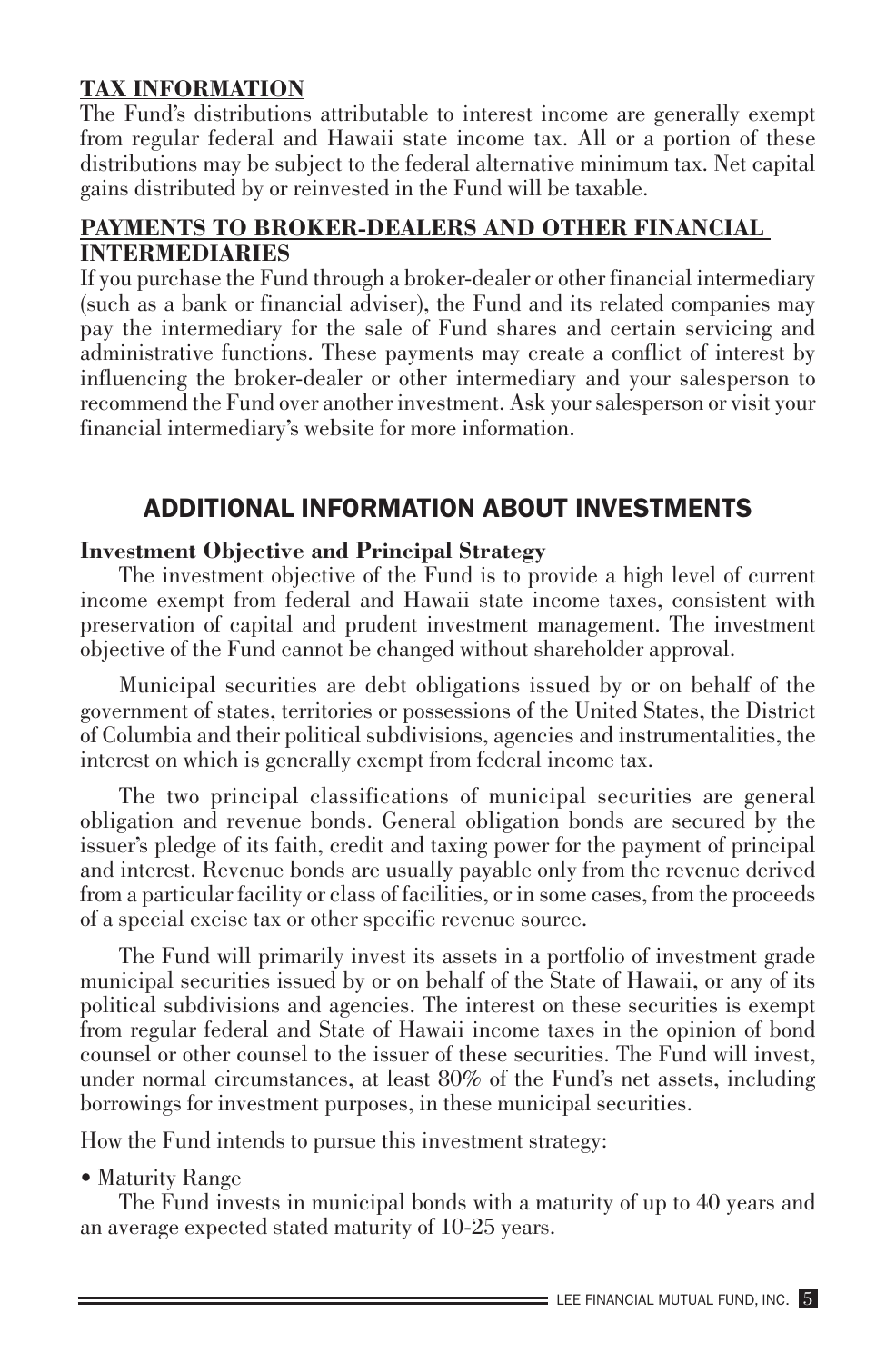#### **TAX INFORMATION**

The Fund's distributions attributable to interest income are generally exempt from regular federal and Hawaii state income tax. All or a portion of these distributions may be subject to the federal alternative minimum tax. Net capital gains distributed by or reinvested in the Fund will be taxable.

#### **PAYMENTS TO BROKER-DEALERS AND OTHER FINANCIAL INTERMEDIARIES**

If you purchase the Fund through a broker-dealer or other financial intermediary (such as a bank or financial adviser), the Fund and its related companies may pay the intermediary for the sale of Fund shares and certain servicing and administrative functions. These payments may create a conflict of interest by influencing the broker-dealer or other intermediary and your salesperson to recommend the Fund over another investment. Ask your salesperson or visit your financial intermediary's website for more information.

# ADDITIONAL INFORMATION ABOUT INVESTMENTS

#### **Investment Objective and Principal Strategy**

The investment objective of the Fund is to provide a high level of current income exempt from federal and Hawaii state income taxes, consistent with preservation of capital and prudent investment management. The investment objective of the Fund cannot be changed without shareholder approval.

Municipal securities are debt obligations issued by or on behalf of the government of states, territories or possessions of the United States, the District of Columbia and their political subdivisions, agencies and instrumentalities, the interest on which is generally exempt from federal income tax.

The two principal classifications of municipal securities are general obligation and revenue bonds. General obligation bonds are secured by the issuer's pledge of its faith, credit and taxing power for the payment of principal and interest. Revenue bonds are usually payable only from the revenue derived from a particular facility or class of facilities, or in some cases, from the proceeds of a special excise tax or other specific revenue source.

The Fund will primarily invest its assets in a portfolio of investment grade municipal securities issued by or on behalf of the State of Hawaii, or any of its political subdivisions and agencies. The interest on these securities is exempt from regular federal and State of Hawaii income taxes in the opinion of bond counsel or other counsel to the issuer of these securities. The Fund will invest, under normal circumstances, at least 80% of the Fund's net assets, including borrowings for investment purposes, in these municipal securities.

How the Fund intends to pursue this investment strategy:

• Maturity Range

The Fund invests in municipal bonds with a maturity of up to 40 years and an average expected stated maturity of 10-25 years.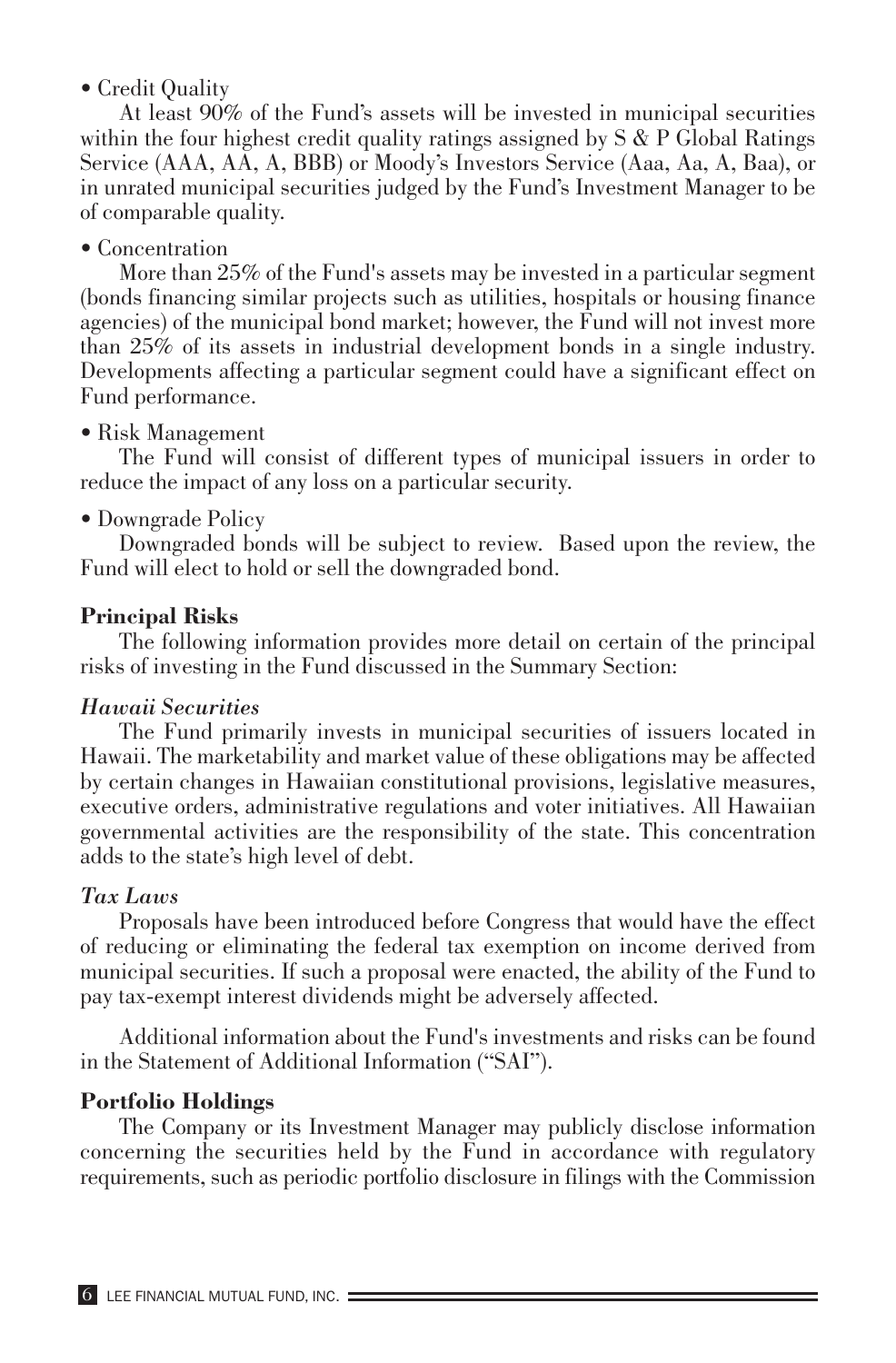• Credit Quality

At least 90% of the Fund's assets will be invested in municipal securities within the four highest credit quality ratings assigned by  $S \& P$  Global Ratings Service (AAA, AA, A, BBB) or Moody's Investors Service (Aaa, Aa, A, Baa), or in unrated municipal securities judged by the Fund's Investment Manager to be of comparable quality.

## • Concentration

More than 25% of the Fund's assets may be invested in a particular segment (bonds financing similar projects such as utilities, hospitals or housing finance agencies) of the municipal bond market; however, the Fund will not invest more than 25% of its assets in industrial development bonds in a single industry. Developments affecting a particular segment could have a significant effect on Fund performance.

## • Risk Management

The Fund will consist of different types of municipal issuers in order to reduce the impact of any loss on a particular security.

## • Downgrade Policy

Downgraded bonds will be subject to review. Based upon the review, the Fund will elect to hold or sell the downgraded bond.

## **Principal Risks**

The following information provides more detail on certain of the principal risks of investing in the Fund discussed in the Summary Section:

#### *Hawaii Securities*

The Fund primarily invests in municipal securities of issuers located in Hawaii. The marketability and market value of these obligations may be affected by certain changes in Hawaiian constitutional provisions, legislative measures, executive orders, administrative regulations and voter initiatives. All Hawaiian governmental activities are the responsibility of the state. This concentration adds to the state's high level of debt.

#### *Tax Laws*

Proposals have been introduced before Congress that would have the effect of reducing or eliminating the federal tax exemption on income derived from municipal securities. If such a proposal were enacted, the ability of the Fund to pay tax-exempt interest dividends might be adversely affected.

Additional information about the Fund's investments and risks can be found in the Statement of Additional Information ("SAI").

#### **Portfolio Holdings**

The Company or its Investment Manager may publicly disclose information concerning the securities held by the Fund in accordance with regulatory requirements, such as periodic portfolio disclosure in filings with the Commission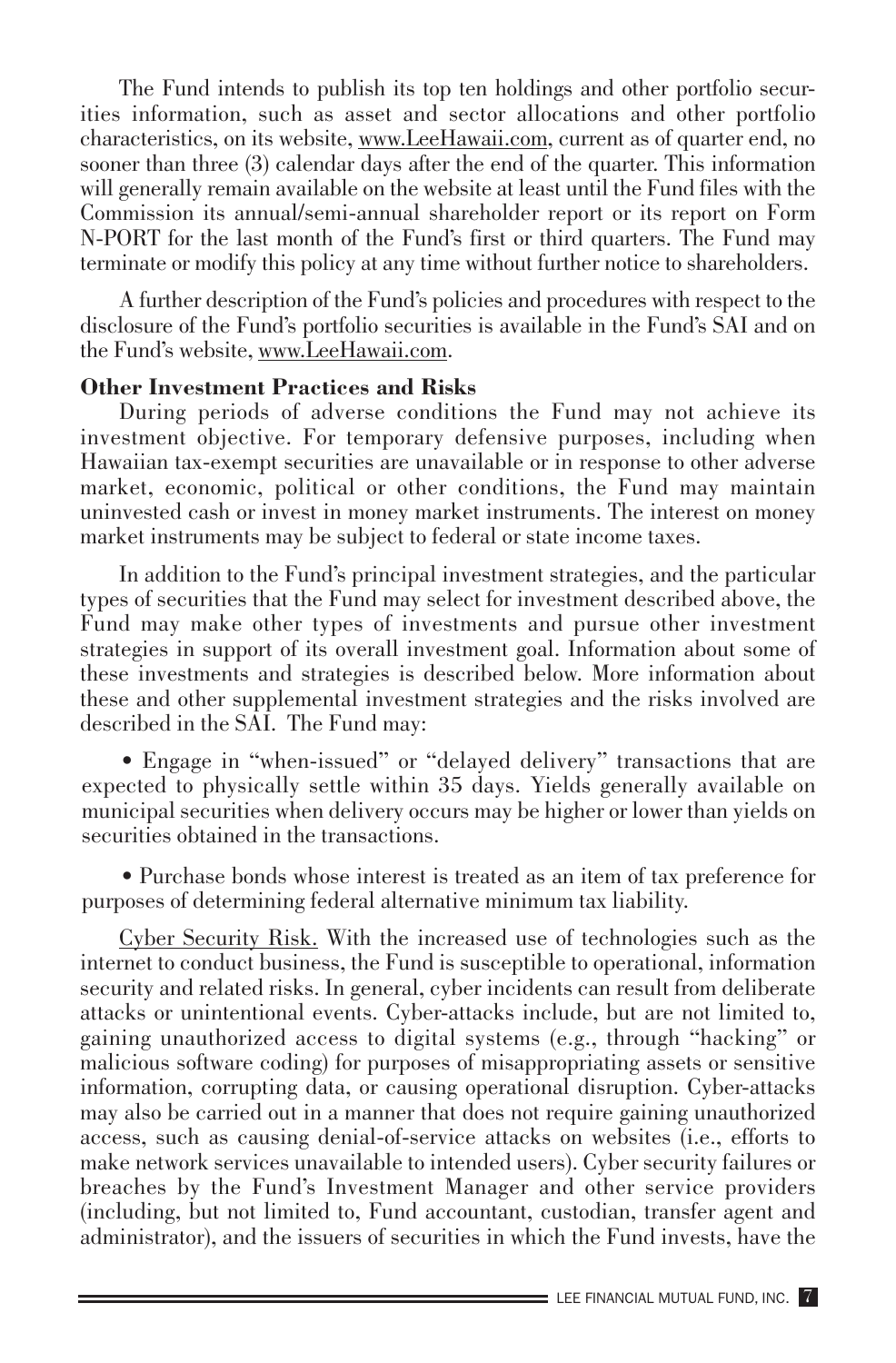The Fund intends to publish its top ten holdings and other portfolio securities information, such as asset and sector allocations and other portfolio characteristics, on its website, www.LeeHawaii.com, current as of quarter end, no sooner than three (3) calendar days after the end of the quarter. This information will generally remain available on the website at least until the Fund files with the Commission its annual/semi-annual shareholder report or its report on Form N-PORT for the last month of the Fund's first or third quarters. The Fund may terminate or modify this policy at any time without further notice to shareholders.

A further description of the Fund's policies and procedures with respect to the disclosure of the Fund's portfolio securities is available in the Fund's SAI and on the Fund's website, www.LeeHawaii.com.

#### **Other Investment Practices and Risks**

During periods of adverse conditions the Fund may not achieve its investment objective. For temporary defensive purposes, including when Hawaiian tax-exempt securities are unavailable or in response to other adverse market, economic, political or other conditions, the Fund may maintain uninvested cash or invest in money market instruments. The interest on money market instruments may be subject to federal or state income taxes.

In addition to the Fund's principal investment strategies, and the particular types of securities that the Fund may select for investment described above, the Fund may make other types of investments and pursue other investment strategies in support of its overall investment goal. Information about some of these investments and strategies is described below. More information about these and other supplemental investment strategies and the risks involved are described in the SAI. The Fund may:

• Engage in "when-issued" or "delayed delivery" transactions that are expected to physically settle within 35 days. Yields generally available on municipal securities when delivery occurs may be higher or lower than yields on securities obtained in the transactions.

• Purchase bonds whose interest is treated as an item of tax preference for purposes of determining federal alternative minimum tax liability.

Cyber Security Risk. With the increased use of technologies such as the internet to conduct business, the Fund is susceptible to operational, information security and related risks. In general, cyber incidents can result from deliberate attacks or unintentional events. Cyber-attacks include, but are not limited to, gaining unauthorized access to digital systems (e.g., through "hacking" or malicious software coding) for purposes of misappropriating assets or sensitive information, corrupting data, or causing operational disruption. Cyber-attacks may also be carried out in a manner that does not require gaining unauthorized access, such as causing denial-of-service attacks on websites (i.e., efforts to make network services unavailable to intended users). Cyber security failures or breaches by the Fund's Investment Manager and other service providers (including, but not limited to, Fund accountant, custodian, transfer agent and administrator), and the issuers of securities in which the Fund invests, have the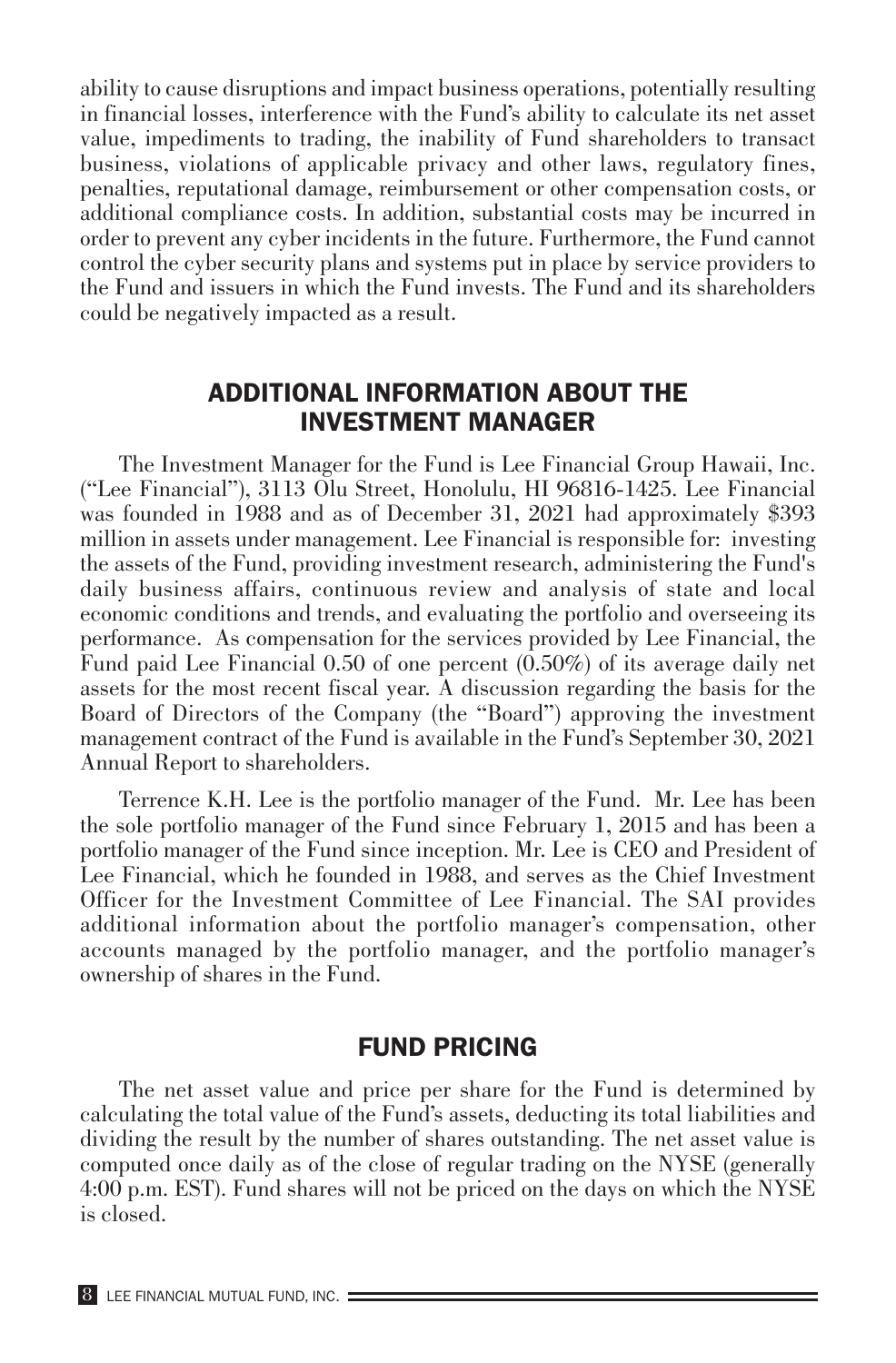ability to cause disruptions and impact business operations, potentially resulting in financial losses, interference with the Fund's ability to calculate its net asset value, impediments to trading, the inability of Fund shareholders to transact business, violations of applicable privacy and other laws, regulatory fines, penalties, reputational damage, reimbursement or other compensation costs, or additional compliance costs. In addition, substantial costs may be incurred in order to prevent any cyber incidents in the future. Furthermore, the Fund cannot control the cyber security plans and systems put in place by service providers to the Fund and issuers in which the Fund invests. The Fund and its shareholders could be negatively impacted as a result.

## ADDITIONAL INFORMATION ABOUT THE INVESTMENT MANAGER

The Investment Manager for the Fund is Lee Financial Group Hawaii, Inc. ("Lee Financial"), 3113 Olu Street, Honolulu, HI 96816-1425. Lee Financial was founded in 1988 and as of December 31, 2021 had approximately \$393 million in assets under management. Lee Financial is responsible for: investing the assets of the Fund, providing investment research, administering the Fund's daily business affairs, continuous review and analysis of state and local economic conditions and trends, and evaluating the portfolio and overseeing its performance. As compensation for the services provided by Lee Financial, the Fund paid Lee Financial 0.50 of one percent (0.50%) of its average daily net assets for the most recent fiscal year. A discussion regarding the basis for the Board of Directors of the Company (the "Board") approving the investment management contract of the Fund is available in the Fund's September 30, 2021 Annual Report to shareholders.

Terrence K.H. Lee is the portfolio manager of the Fund. Mr. Lee has been the sole portfolio manager of the Fund since February 1, 2015 and has been a portfolio manager of the Fund since inception. Mr. Lee is CEO and President of Lee Financial, which he founded in 1988, and serves as the Chief Investment Officer for the Investment Committee of Lee Financial. The SAI provides additional information about the portfolio manager's compensation, other accounts managed by the portfolio manager, and the portfolio manager's ownership of shares in the Fund.

#### FUND PRICING

The net asset value and price per share for the Fund is determined by calculating the total value of the Fund's assets, deducting its total liabilities and dividing the result by the number of shares outstanding. The net asset value is computed once daily as of the close of regular trading on the NYSE (generally 4:00 p.m. EST). Fund shares will not be priced on the days on which the NYSE is closed.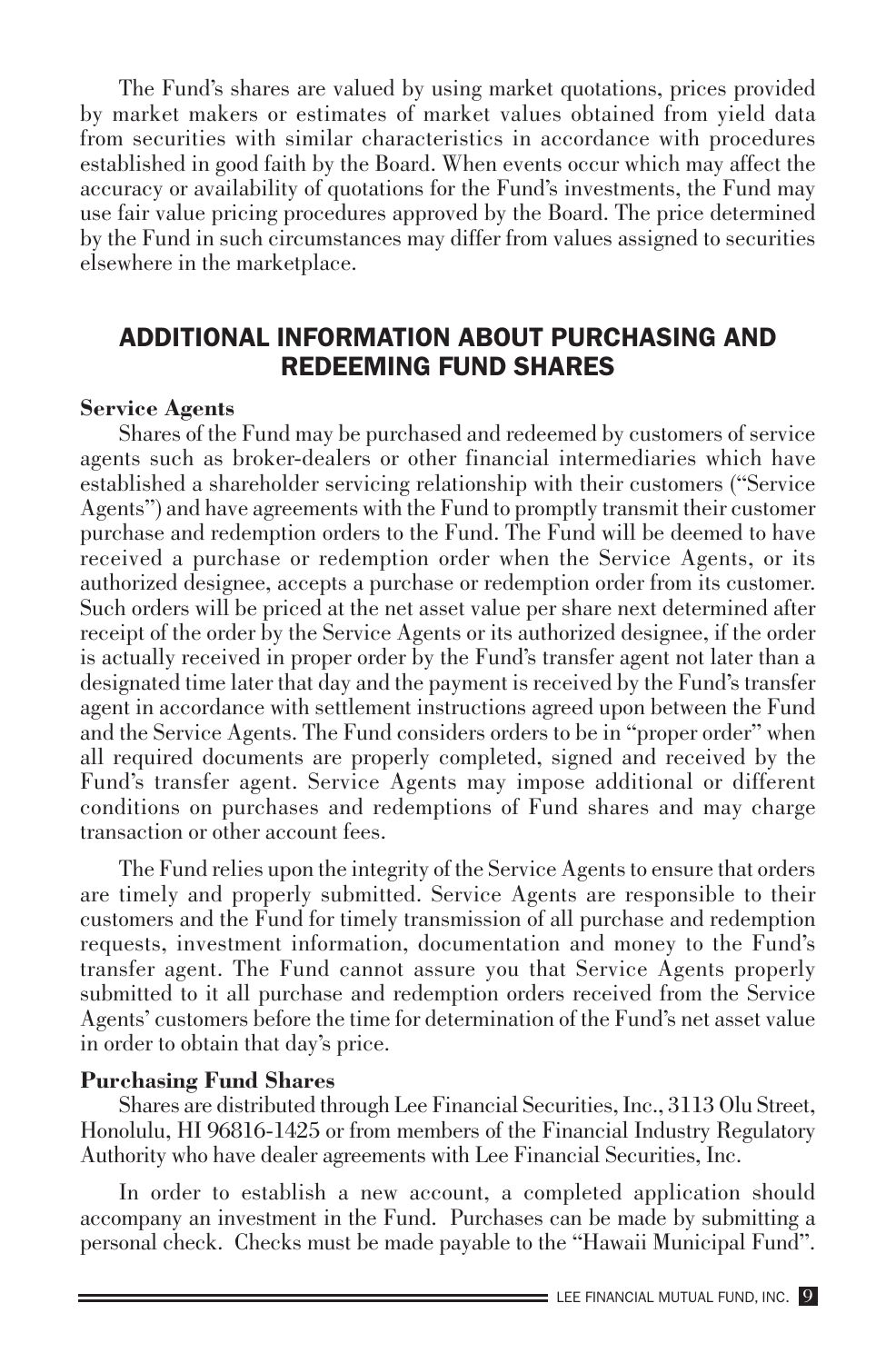The Fund's shares are valued by using market quotations, prices provided by market makers or estimates of market values obtained from yield data from securities with similar characteristics in accordance with procedures established in good faith by the Board. When events occur which may affect the accuracy or availability of quotations for the Fund's investments, the Fund may use fair value pricing procedures approved by the Board. The price determined by the Fund in such circumstances may differ from values assigned to securities elsewhere in the marketplace.

# ADDITIONAL INFORMATION ABOUT PURCHASING AND REDEEMING FUND SHARES

#### **Service Agents**

Shares of the Fund may be purchased and redeemed by customers of service agents such as broker-dealers or other financial intermediaries which have established a shareholder servicing relationship with their customers ("Service Agents") and have agreements with the Fund to promptly transmit their customer purchase and redemption orders to the Fund. The Fund will be deemed to have received a purchase or redemption order when the Service Agents, or its authorized designee, accepts a purchase or redemption order from its customer. Such orders will be priced at the net asset value per share next determined after receipt of the order by the Service Agents or its authorized designee, if the order is actually received in proper order by the Fund's transfer agent not later than a designated time later that day and the payment is received by the Fund's transfer agent in accordance with settlement instructions agreed upon between the Fund and the Service Agents. The Fund considers orders to be in "proper order" when all required documents are properly completed, signed and received by the Fund's transfer agent. Service Agents may impose additional or different conditions on purchases and redemptions of Fund shares and may charge transaction or other account fees.

The Fund relies upon the integrity of the Service Agents to ensure that orders are timely and properly submitted. Service Agents are responsible to their customers and the Fund for timely transmission of all purchase and redemption requests, investment information, documentation and money to the Fund's transfer agent. The Fund cannot assure you that Service Agents properly submitted to it all purchase and redemption orders received from the Service Agents' customers before the time for determination of the Fund's net asset value in order to obtain that day's price.

#### **Purchasing Fund Shares**

Shares are distributed through Lee Financial Securities, Inc., 3113 Olu Street, Honolulu, HI 96816-1425 or from members of the Financial Industry Regulatory Authority who have dealer agreements with Lee Financial Securities, Inc.

In order to establish a new account, a completed application should accompany an investment in the Fund. Purchases can be made by submitting a personal check. Checks must be made payable to the "Hawaii Municipal Fund".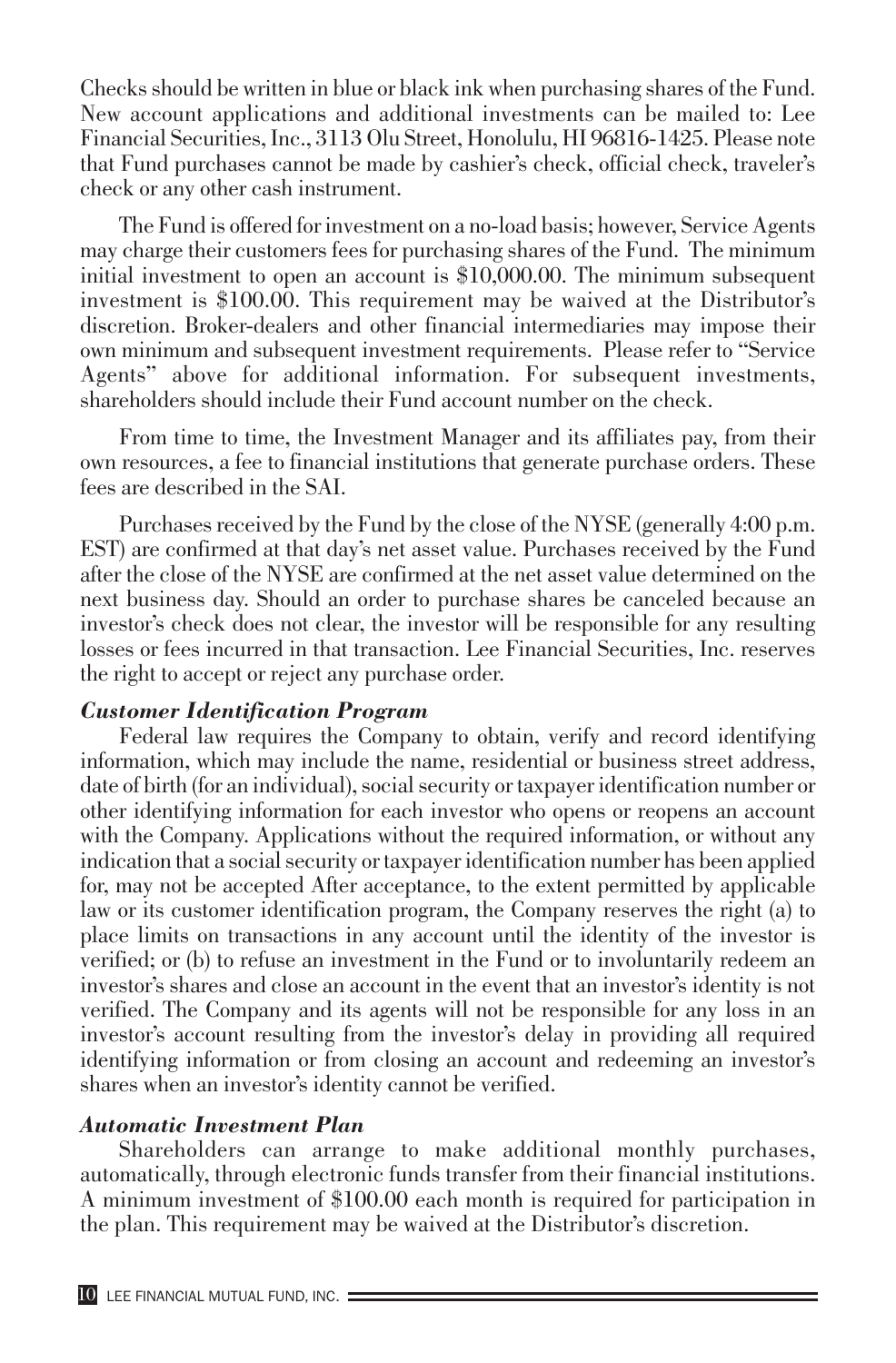Checks should be written in blue or black ink when purchasing shares of the Fund. New account applications and additional investments can be mailed to: Lee Financial Securities, Inc., 3113 Olu Street, Honolulu, HI 96816-1425. Please note that Fund purchases cannot be made by cashier's check, official check, traveler's check or any other cash instrument.

The Fund is offered for investment on a no-load basis; however, Service Agents may charge their customers fees for purchasing shares of the Fund. The minimum initial investment to open an account is \$10,000.00. The minimum subsequent investment is \$100.00. This requirement may be waived at the Distributor's discretion. Broker-dealers and other financial intermediaries may impose their own minimum and subsequent investment requirements. Please refer to "Service Agents" above for additional information. For subsequent investments, shareholders should include their Fund account number on the check.

From time to time, the Investment Manager and its affiliates pay, from their own resources, a fee to financial institutions that generate purchase orders. These fees are described in the SAI.

Purchases received by the Fund by the close of the NYSE (generally 4:00 p.m. EST) are confirmed at that day's net asset value. Purchases received by the Fund after the close of the NYSE are confirmed at the net asset value determined on the next business day. Should an order to purchase shares be canceled because an investor's check does not clear, the investor will be responsible for any resulting losses or fees incurred in that transaction. Lee Financial Securities, Inc. reserves the right to accept or reject any purchase order.

#### *Customer Identification Program*

Federal law requires the Company to obtain, verify and record identifying information, which may include the name, residential or business street address, date of birth (for an individual), social security or taxpayer identification number or other identifying information for each investor who opens or reopens an account with the Company. Applications without the required information, or without any indication that a social security or taxpayer identification number has been applied for, may not be accepted After acceptance, to the extent permitted by applicable law or its customer identification program, the Company reserves the right (a) to place limits on transactions in any account until the identity of the investor is verified; or (b) to refuse an investment in the Fund or to involuntarily redeem an investor's shares and close an account in the event that an investor's identity is not verified. The Company and its agents will not be responsible for any loss in an investor's account resulting from the investor's delay in providing all required identifying information or from closing an account and redeeming an investor's shares when an investor's identity cannot be verified.

#### *Automatic Investment Plan*

Shareholders can arrange to make additional monthly purchases, automatically, through electronic funds transfer from their financial institutions. A minimum investment of \$100.00 each month is required for participation in the plan. This requirement may be waived at the Distributor's discretion.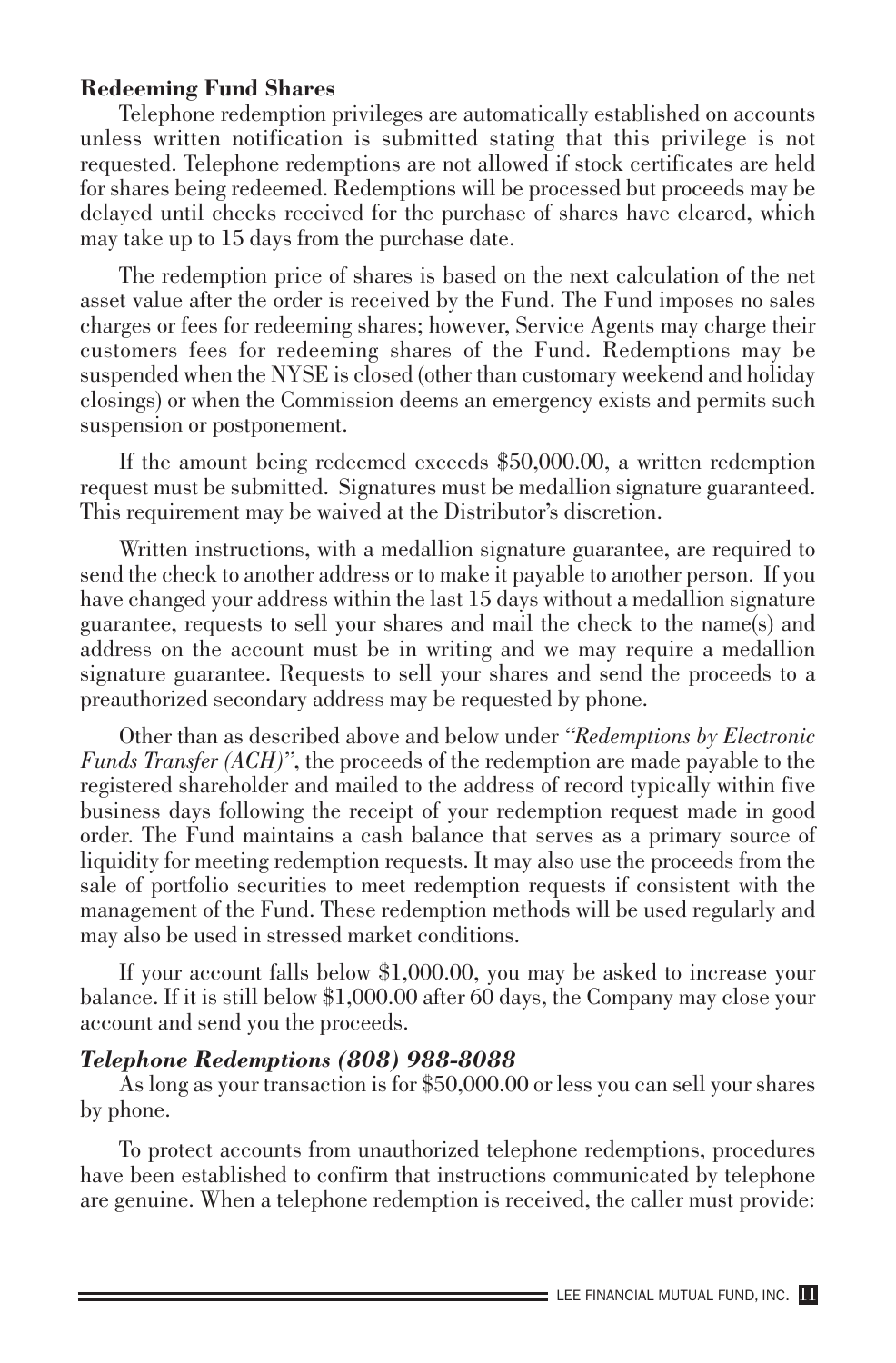#### **Redeeming Fund Shares**

Telephone redemption privileges are automatically established on accounts unless written notification is submitted stating that this privilege is not requested. Telephone redemptions are not allowed if stock certificates are held for shares being redeemed. Redemptions will be processed but proceeds may be delayed until checks received for the purchase of shares have cleared, which may take up to 15 days from the purchase date.

The redemption price of shares is based on the next calculation of the net asset value after the order is received by the Fund. The Fund imposes no sales charges or fees for redeeming shares; however, Service Agents may charge their customers fees for redeeming shares of the Fund. Redemptions may be suspended when the NYSE is closed (other than customary weekend and holiday closings) or when the Commission deems an emergency exists and permits such suspension or postponement.

If the amount being redeemed exceeds \$50,000.00, a written redemption request must be submitted. Signatures must be medallion signature guaranteed. This requirement may be waived at the Distributor's discretion.

Written instructions, with a medallion signature guarantee, are required to send the check to another address or to make it payable to another person. If you have changed your address within the last 15 days without a medallion signature guarantee, requests to sell your shares and mail the check to the name(s) and address on the account must be in writing and we may require a medallion signature guarantee. Requests to sell your shares and send the proceeds to a preauthorized secondary address may be requested by phone.

Other than as described above and below under *"Redemptions by Electronic Funds Transfer (ACH)"*, the proceeds of the redemption are made payable to the registered shareholder and mailed to the address of record typically within five business days following the receipt of your redemption request made in good order. The Fund maintains a cash balance that serves as a primary source of liquidity for meeting redemption requests. It may also use the proceeds from the sale of portfolio securities to meet redemption requests if consistent with the management of the Fund. These redemption methods will be used regularly and may also be used in stressed market conditions.

If your account falls below \$1,000.00, you may be asked to increase your balance. If it is still below \$1,000.00 after 60 days, the Company may close your account and send you the proceeds.

#### *Telephone Redemptions (808) 988-8088*

As long as your transaction is for \$50,000.00 or less you can sell your shares by phone.

To protect accounts from unauthorized telephone redemptions, procedures have been established to confirm that instructions communicated by telephone are genuine. When a telephone redemption is received, the caller must provide: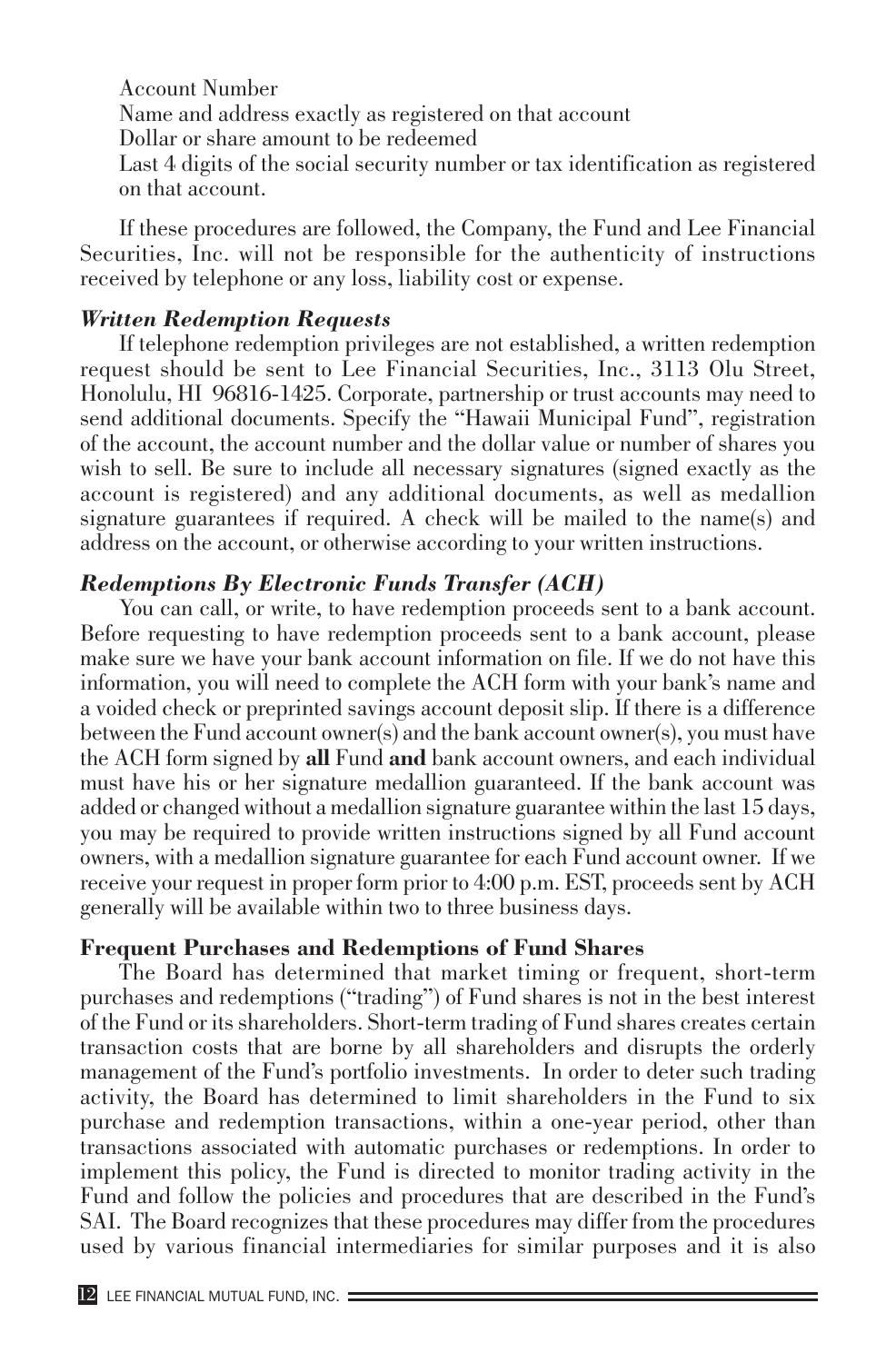Account Number Name and address exactly as registered on that account Dollar or share amount to be redeemed Last 4 digits of the social security number or tax identification as registered on that account.

If these procedures are followed, the Company, the Fund and Lee Financial Securities, Inc. will not be responsible for the authenticity of instructions received by telephone or any loss, liability cost or expense.

#### *Written Redemption Requests*

If telephone redemption privileges are not established, a written redemption request should be sent to Lee Financial Securities, Inc., 3113 Olu Street, Honolulu, HI 96816-1425. Corporate, partnership or trust accounts may need to send additional documents. Specify the "Hawaii Municipal Fund", registration of the account, the account number and the dollar value or number of shares you wish to sell. Be sure to include all necessary signatures (signed exactly as the account is registered) and any additional documents, as well as medallion signature guarantees if required. A check will be mailed to the name(s) and address on the account, or otherwise according to your written instructions.

#### *Redemptions By Electronic Funds Transfer (ACH)*

You can call, or write, to have redemption proceeds sent to a bank account. Before requesting to have redemption proceeds sent to a bank account, please make sure we have your bank account information on file. If we do not have this information, you will need to complete the ACH form with your bank's name and a voided check or preprinted savings account deposit slip. If there is a difference between the Fund account owner(s) and the bank account owner(s), you must have the ACH form signed by **all** Fund **and** bank account owners, and each individual must have his or her signature medallion guaranteed. If the bank account was added or changed without a medallion signature guarantee within the last 15 days, you may be required to provide written instructions signed by all Fund account owners, with a medallion signature guarantee for each Fund account owner. If we receive your request in proper form prior to 4:00 p.m. EST, proceeds sent by ACH generally will be available within two to three business days.

#### **Frequent Purchases and Redemptions of Fund Shares**

The Board has determined that market timing or frequent, short-term purchases and redemptions ("trading") of Fund shares is not in the best interest of the Fund or its shareholders. Short-term trading of Fund shares creates certain transaction costs that are borne by all shareholders and disrupts the orderly management of the Fund's portfolio investments. In order to deter such trading activity, the Board has determined to limit shareholders in the Fund to six purchase and redemption transactions, within a one-year period, other than transactions associated with automatic purchases or redemptions. In order to implement this policy, the Fund is directed to monitor trading activity in the Fund and follow the policies and procedures that are described in the Fund's SAI. The Board recognizes that these procedures may differ from the procedures used by various financial intermediaries for similar purposes and it is also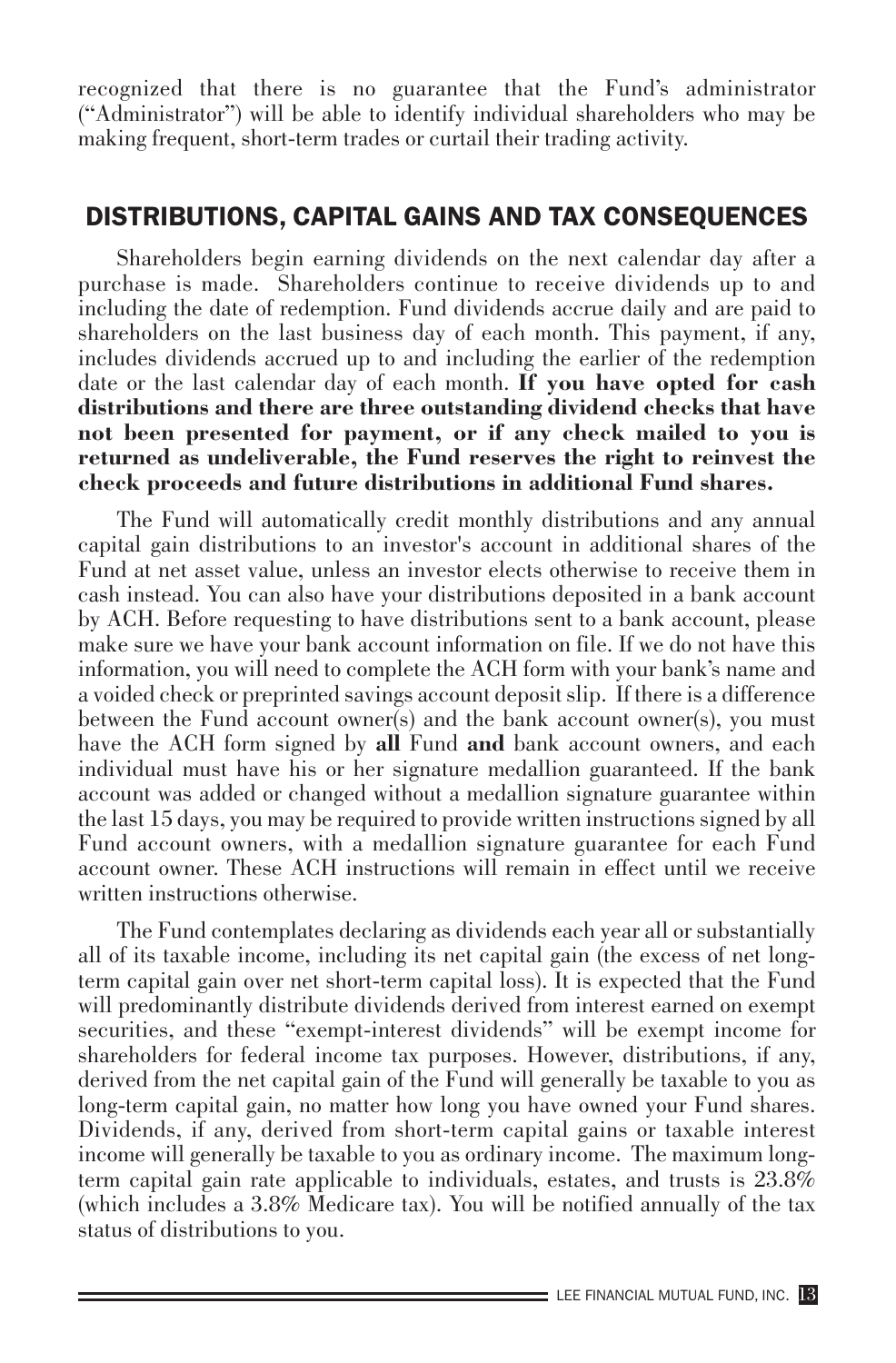recognized that there is no guarantee that the Fund's administrator ("Administrator") will be able to identify individual shareholders who may be making frequent, short-term trades or curtail their trading activity.

## DISTRIBUTIONS, CAPITAL GAINS AND TAX CONSEQUENCES

Shareholders begin earning dividends on the next calendar day after a purchase is made. Shareholders continue to receive dividends up to and including the date of redemption. Fund dividends accrue daily and are paid to shareholders on the last business day of each month. This payment, if any, includes dividends accrued up to and including the earlier of the redemption date or the last calendar day of each month. **If you have opted for cash distributions and there are three outstanding dividend checks that have not been presented for payment, or if any check mailed to you is returned as undeliverable, the Fund reserves the right to reinvest the check proceeds and future distributions in additional Fund shares.** 

The Fund will automatically credit monthly distributions and any annual capital gain distributions to an investor's account in additional shares of the Fund at net asset value, unless an investor elects otherwise to receive them in cash instead. You can also have your distributions deposited in a bank account by ACH. Before requesting to have distributions sent to a bank account, please make sure we have your bank account information on file. If we do not have this information, you will need to complete the ACH form with your bank's name and a voided check or preprinted savings account deposit slip. If there is a difference between the Fund account owner(s) and the bank account owner(s), you must have the ACH form signed by **all** Fund **and** bank account owners, and each individual must have his or her signature medallion guaranteed. If the bank account was added or changed without a medallion signature guarantee within the last 15 days, you may be required to provide written instructions signed by all Fund account owners, with a medallion signature guarantee for each Fund account owner. These ACH instructions will remain in effect until we receive written instructions otherwise.

The Fund contemplates declaring as dividends each year all or substantially all of its taxable income, including its net capital gain (the excess of net longterm capital gain over net short-term capital loss). It is expected that the Fund will predominantly distribute dividends derived from interest earned on exempt securities, and these "exempt-interest dividends" will be exempt income for shareholders for federal income tax purposes. However, distributions, if any, derived from the net capital gain of the Fund will generally be taxable to you as long-term capital gain, no matter how long you have owned your Fund shares. Dividends, if any, derived from short-term capital gains or taxable interest income will generally be taxable to you as ordinary income. The maximum longterm capital gain rate applicable to individuals, estates, and trusts is 23.8% (which includes a 3.8% Medicare tax). You will be notified annually of the tax status of distributions to you.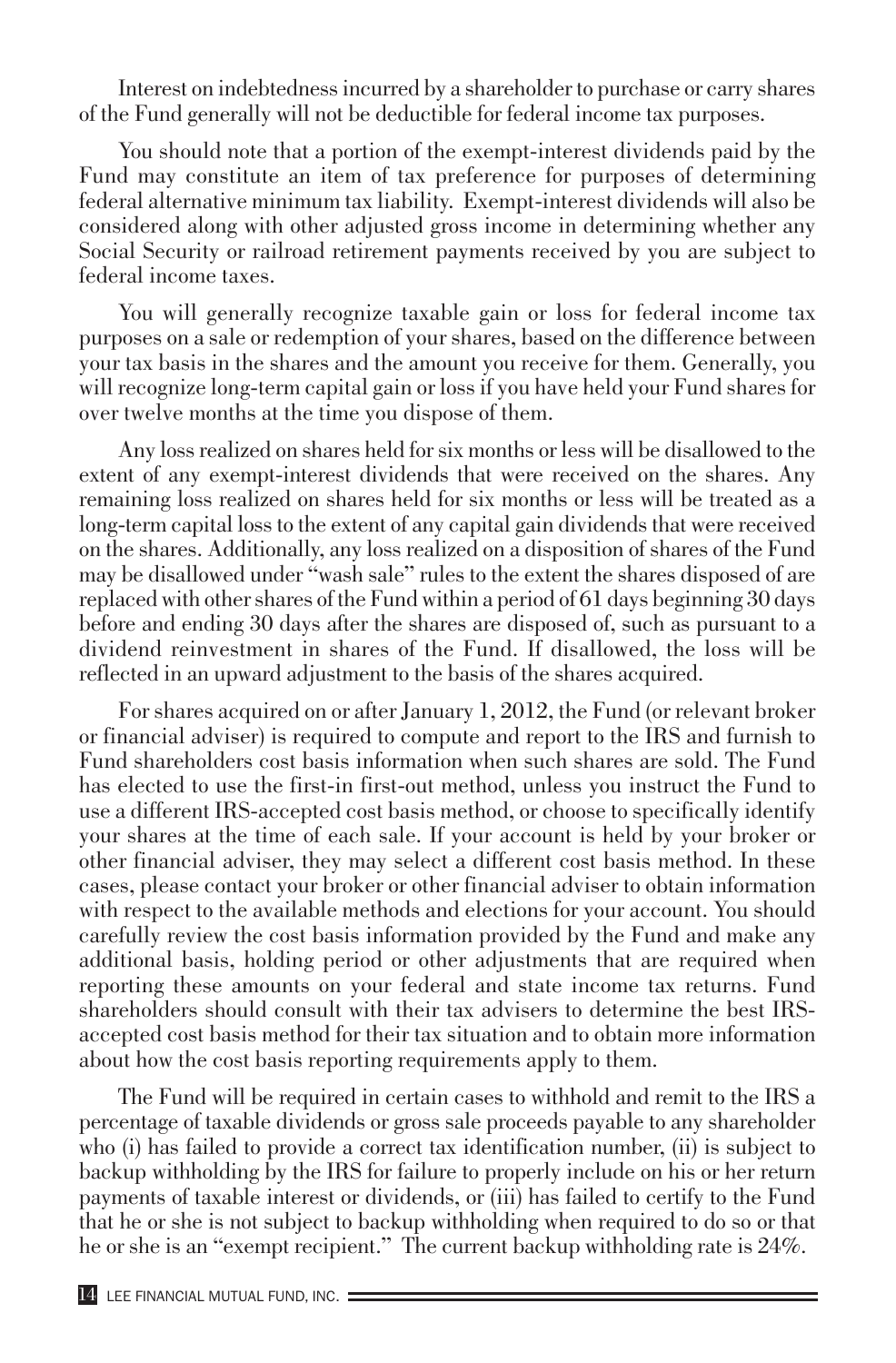Interest on indebtedness incurred by a shareholder to purchase or carry shares of the Fund generally will not be deductible for federal income tax purposes.

You should note that a portion of the exempt-interest dividends paid by the Fund may constitute an item of tax preference for purposes of determining federal alternative minimum tax liability. Exempt-interest dividends will also be considered along with other adjusted gross income in determining whether any Social Security or railroad retirement payments received by you are subject to federal income taxes.

You will generally recognize taxable gain or loss for federal income tax purposes on a sale or redemption of your shares, based on the difference between your tax basis in the shares and the amount you receive for them. Generally, you will recognize long-term capital gain or loss if you have held your Fund shares for over twelve months at the time you dispose of them.

Any loss realized on shares held for six months or less will be disallowed to the extent of any exempt-interest dividends that were received on the shares. Any remaining loss realized on shares held for six months or less will be treated as a long-term capital loss to the extent of any capital gain dividends that were received on the shares. Additionally, any loss realized on a disposition of shares of the Fund may be disallowed under "wash sale" rules to the extent the shares disposed of are replaced with other shares of the Fund within a period of 61 days beginning 30 days before and ending 30 days after the shares are disposed of, such as pursuant to a dividend reinvestment in shares of the Fund. If disallowed, the loss will be reflected in an upward adjustment to the basis of the shares acquired.

For shares acquired on or after January 1, 2012, the Fund (or relevant broker or financial adviser) is required to compute and report to the IRS and furnish to Fund shareholders cost basis information when such shares are sold. The Fund has elected to use the first-in first-out method, unless you instruct the Fund to use a different IRS-accepted cost basis method, or choose to specifically identify your shares at the time of each sale. If your account is held by your broker or other financial adviser, they may select a different cost basis method. In these cases, please contact your broker or other financial adviser to obtain information with respect to the available methods and elections for your account. You should carefully review the cost basis information provided by the Fund and make any additional basis, holding period or other adjustments that are required when reporting these amounts on your federal and state income tax returns. Fund shareholders should consult with their tax advisers to determine the best IRSaccepted cost basis method for their tax situation and to obtain more information about how the cost basis reporting requirements apply to them.

The Fund will be required in certain cases to withhold and remit to the IRS a percentage of taxable dividends or gross sale proceeds payable to any shareholder who (i) has failed to provide a correct tax identification number, (ii) is subject to backup withholding by the IRS for failure to properly include on his or her return payments of taxable interest or dividends, or (iii) has failed to certify to the Fund that he or she is not subject to backup withholding when required to do so or that he or she is an "exempt recipient." The current backup withholding rate is 24%.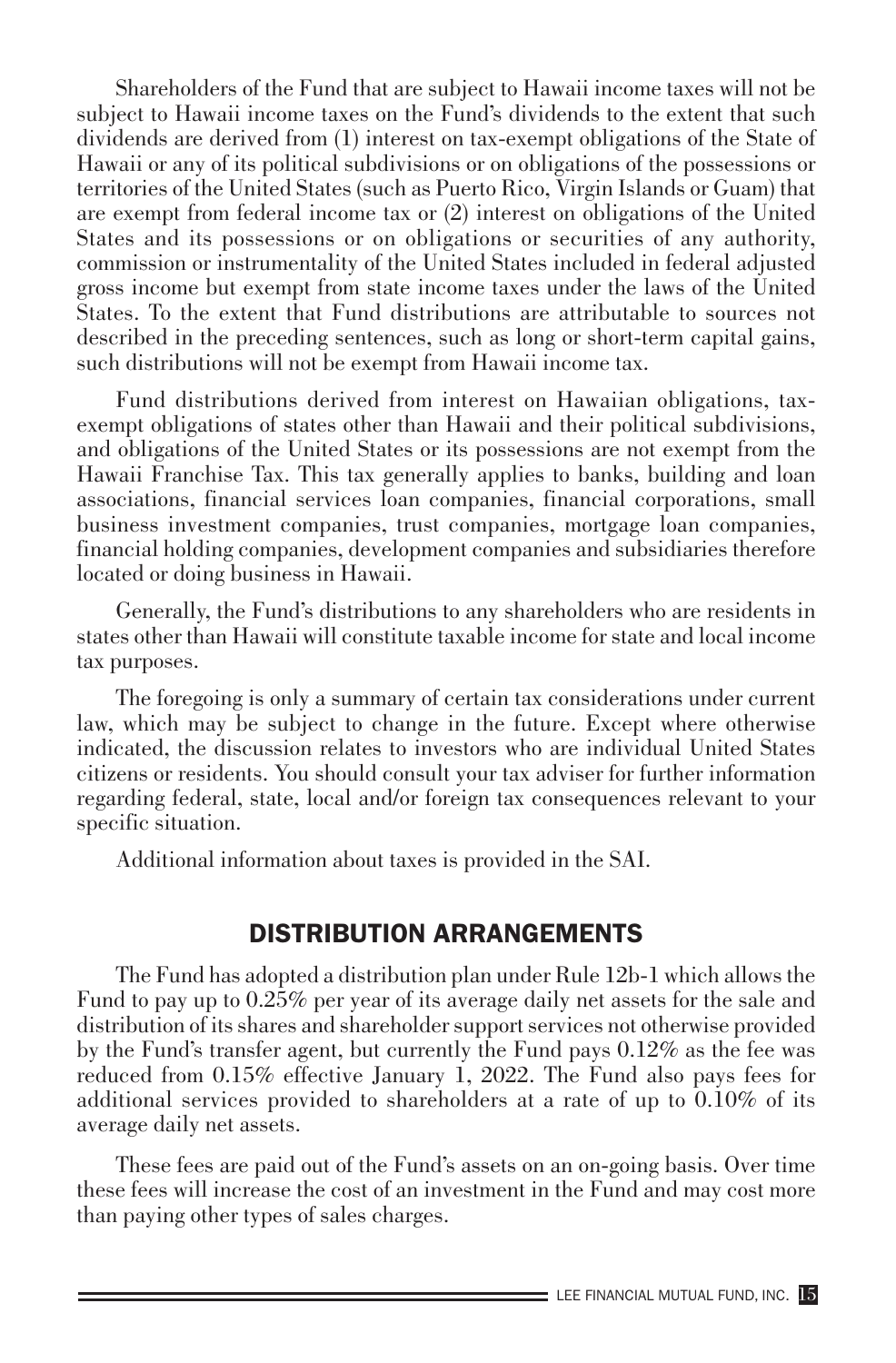Shareholders of the Fund that are subject to Hawaii income taxes will not be subject to Hawaii income taxes on the Fund's dividends to the extent that such dividends are derived from (1) interest on tax-exempt obligations of the State of Hawaii or any of its political subdivisions or on obligations of the possessions or territories of the United States (such as Puerto Rico, Virgin Islands or Guam) that are exempt from federal income tax or (2) interest on obligations of the United States and its possessions or on obligations or securities of any authority, commission or instrumentality of the United States included in federal adjusted gross income but exempt from state income taxes under the laws of the United States. To the extent that Fund distributions are attributable to sources not described in the preceding sentences, such as long or short-term capital gains, such distributions will not be exempt from Hawaii income tax.

Fund distributions derived from interest on Hawaiian obligations, taxexempt obligations of states other than Hawaii and their political subdivisions, and obligations of the United States or its possessions are not exempt from the Hawaii Franchise Tax. This tax generally applies to banks, building and loan associations, financial services loan companies, financial corporations, small business investment companies, trust companies, mortgage loan companies, financial holding companies, development companies and subsidiaries therefore located or doing business in Hawaii.

Generally, the Fund's distributions to any shareholders who are residents in states other than Hawaii will constitute taxable income for state and local income tax purposes.

The foregoing is only a summary of certain tax considerations under current law, which may be subject to change in the future. Except where otherwise indicated, the discussion relates to investors who are individual United States citizens or residents. You should consult your tax adviser for further information regarding federal, state, local and/or foreign tax consequences relevant to your specific situation.

Additional information about taxes is provided in the SAI.

# DISTRIBUTION ARRANGEMENTS

The Fund has adopted a distribution plan under Rule 12b-1 which allows the Fund to pay up to 0.25% per year of its average daily net assets for the sale and distribution of its shares and shareholder support services not otherwise provided by the Fund's transfer agent, but currently the Fund pays 0.12% as the fee was reduced from 0.15% effective January 1, 2022. The Fund also pays fees for additional services provided to shareholders at a rate of up to 0.10% of its average daily net assets.

These fees are paid out of the Fund's assets on an on-going basis. Over time these fees will increase the cost of an investment in the Fund and may cost more than paying other types of sales charges.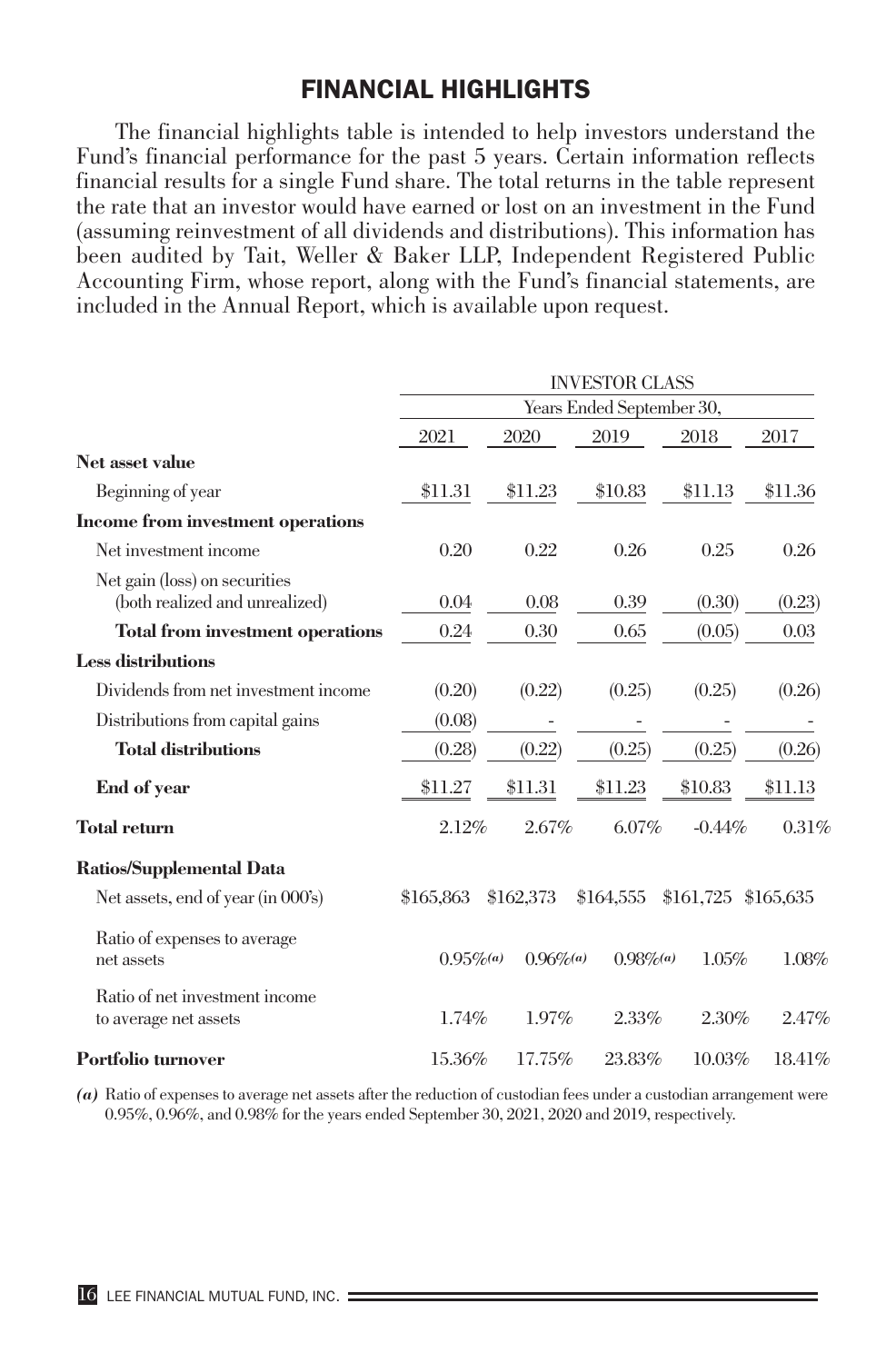# FINANCIAL HIGHLIGHTS

The financial highlights table is intended to help investors understand the Fund's financial performance for the past 5 years. Certain information reflects financial results for a single Fund share. The total returns in the table represent the rate that an investor would have earned or lost on an investment in the Fund (assuming reinvestment of all dividends and distributions). This information has been audited by Tait, Weller & Baker LLP, Independent Registered Public Accounting Firm, whose report, along with the Fund's financial statements, are included in the Annual Report, which is available upon request.

|                                                                 | <b>INVESTOR CLASS</b>     |              |              |           |           |
|-----------------------------------------------------------------|---------------------------|--------------|--------------|-----------|-----------|
|                                                                 | Years Ended September 30, |              |              |           |           |
|                                                                 | 2021                      | 2020         | 2019         | 2018      | 2017      |
| Net asset value                                                 |                           |              |              |           |           |
| Beginning of year                                               | \$11.31                   | \$11.23      | \$10.83      | \$11.13   | \$11.36   |
| Income from investment operations                               |                           |              |              |           |           |
| Net investment income                                           | 0.20                      | 0.22         | 0.26         | 0.25      | 0.26      |
| Net gain (loss) on securities<br>(both realized and unrealized) | 0.04                      | 0.08         | 0.39         | (0.30)    | (0.23)    |
| Total from investment operations                                | 0.24                      | 0.30         | 0.65         | (0.05)    | 0.03      |
| <b>Less distributions</b>                                       |                           |              |              |           |           |
| Dividends from net investment income                            | (0.20)                    | (0.22)       | (0.25)       | (0.25)    | (0.26)    |
| Distributions from capital gains                                | (0.08)                    |              |              |           |           |
| <b>Total distributions</b>                                      | (0.28)                    | (0.22)       | (0.25)       | (0.25)    | (0.26)    |
| End of year                                                     | \$11.27                   | \$11.31      | \$11.23      | \$10.83   | \$11.13   |
| <b>Total return</b>                                             | 2.12%                     | 2.67%        | $6.07\%$     | $-0.44%$  | 0.31%     |
| Ratios/Supplemental Data                                        |                           |              |              |           |           |
| Net assets, end of year (in 000's)                              | \$165,863                 | \$162,373    | \$164,555    | \$161,725 | \$165,635 |
| Ratio of expenses to average<br>net assets                      | $0.95\%$ <sup>(a)</sup>   | $0.96\%$ (a) | $0.98\%$ (a) | 1.05%     | 1.08%     |
| Ratio of net investment income<br>to average net assets         | 1.74%                     | 1.97%        | 2.33%        | 2.30%     | 2.47%     |
| Portfolio turnover                                              | 15.36%                    | 17.75%       | 23.83%       | 10.03%    | 18.41%    |

*(a)* Ratio of expenses to average net assets after the reduction of custodian fees under a custodian arrangement were 0.95%, 0.96%, and 0.98% for the years ended September 30, 2021, 2020 and 2019, respectively.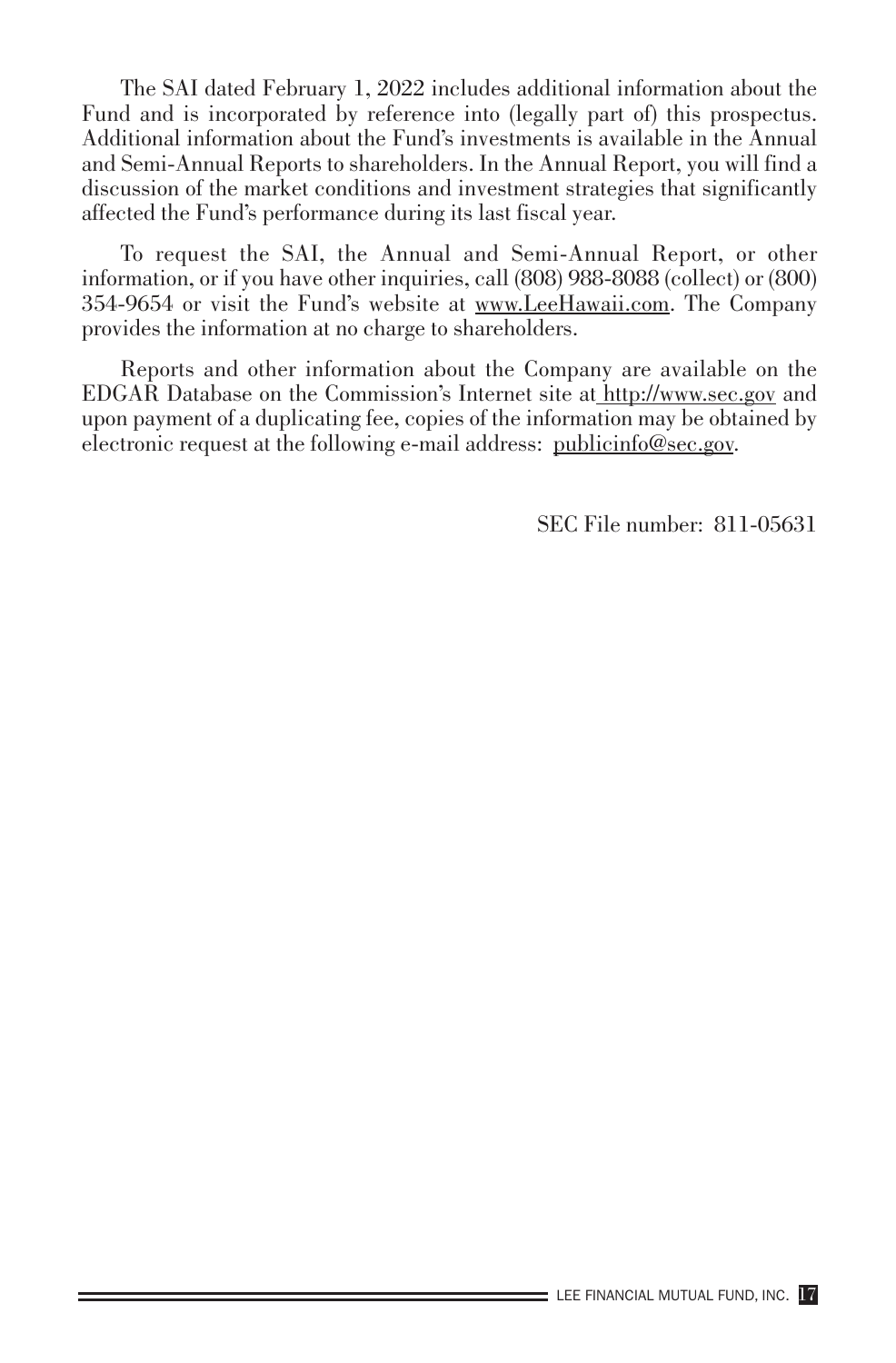The SAI dated February 1, 2022 includes additional information about the Fund and is incorporated by reference into (legally part of) this prospectus. Additional information about the Fund's investments is available in the Annual and Semi-Annual Reports to shareholders. In the Annual Report, you will find a discussion of the market conditions and investment strategies that significantly affected the Fund's performance during its last fiscal year.

To request the SAI, the Annual and Semi-Annual Report, or other information, or if you have other inquiries, call (808) 988-8088 (collect) or (800) 354-9654 or visit the Fund's website at www.LeeHawaii.com. The Company provides the information at no charge to shareholders.

Reports and other information about the Company are available on the EDGAR Database on the Commission's Internet site at http://www.sec.gov and upon payment of a duplicating fee, copies of the information may be obtained by electronic request at the following e-mail address: publicinfo@sec.gov.

SEC File number: 811-05631